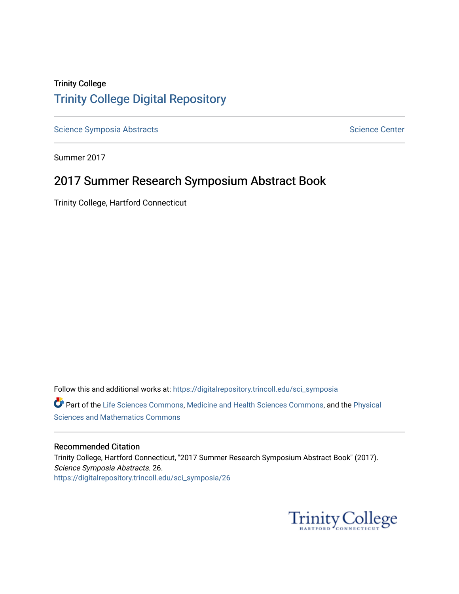# Trinity College [Trinity College Digital Repository](https://digitalrepository.trincoll.edu/)

[Science Symposia Abstracts](https://digitalrepository.trincoll.edu/sci_symposia) **Science Center** Science Center

Summer 2017

# 2017 Summer Research Symposium Abstract Book

Trinity College, Hartford Connecticut

Follow this and additional works at: [https://digitalrepository.trincoll.edu/sci\\_symposia](https://digitalrepository.trincoll.edu/sci_symposia?utm_source=digitalrepository.trincoll.edu%2Fsci_symposia%2F26&utm_medium=PDF&utm_campaign=PDFCoverPages)  Part of the [Life Sciences Commons,](http://network.bepress.com/hgg/discipline/1016?utm_source=digitalrepository.trincoll.edu%2Fsci_symposia%2F26&utm_medium=PDF&utm_campaign=PDFCoverPages) [Medicine and Health Sciences Commons,](http://network.bepress.com/hgg/discipline/648?utm_source=digitalrepository.trincoll.edu%2Fsci_symposia%2F26&utm_medium=PDF&utm_campaign=PDFCoverPages) and the Physical [Sciences and Mathematics Commons](http://network.bepress.com/hgg/discipline/114?utm_source=digitalrepository.trincoll.edu%2Fsci_symposia%2F26&utm_medium=PDF&utm_campaign=PDFCoverPages) 

#### Recommended Citation

Trinity College, Hartford Connecticut, "2017 Summer Research Symposium Abstract Book" (2017). Science Symposia Abstracts. 26. [https://digitalrepository.trincoll.edu/sci\\_symposia/26](https://digitalrepository.trincoll.edu/sci_symposia/26?utm_source=digitalrepository.trincoll.edu%2Fsci_symposia%2F26&utm_medium=PDF&utm_campaign=PDFCoverPages) 

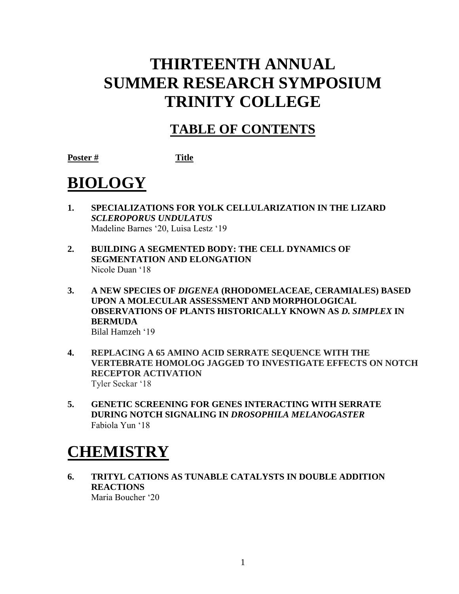# **THIRTEENTH ANNUAL SUMMER RESEARCH SYMPOSIUM TRINITY COLLEGE**

# **TABLE OF CONTENTS**

**Poster # Title**

# **BIOLOGY**

- **1. SPECIALIZATIONS FOR YOLK CELLULARIZATION IN THE LIZARD**  *SCLEROPORUS UNDULATUS* Madeline Barnes '20, Luisa Lestz '19
- **2. BUILDING A SEGMENTED BODY: THE CELL DYNAMICS OF SEGMENTATION AND ELONGATION** Nicole Duan '18
- **3. A NEW SPECIES OF** *DIGENEA* **(RHODOMELACEAE, CERAMIALES) BASED UPON A MOLECULAR ASSESSMENT AND MORPHOLOGICAL OBSERVATIONS OF PLANTS HISTORICALLY KNOWN AS** *D. SIMPLEX* **IN BERMUDA** Bilal Hamzeh '19
- **4. REPLACING A 65 AMINO ACID SERRATE SEQUENCE WITH THE VERTEBRATE HOMOLOG JAGGED TO INVESTIGATE EFFECTS ON NOTCH RECEPTOR ACTIVATION** Tyler Seckar '18
- **5. GENETIC SCREENING FOR GENES INTERACTING WITH SERRATE DURING NOTCH SIGNALING IN** *DROSOPHILA MELANOGASTER* Fabiola Yun '18

# **CHEMISTRY**

**6. TRITYL CATIONS AS TUNABLE CATALYSTS IN DOUBLE ADDITION REACTIONS** Maria Boucher '20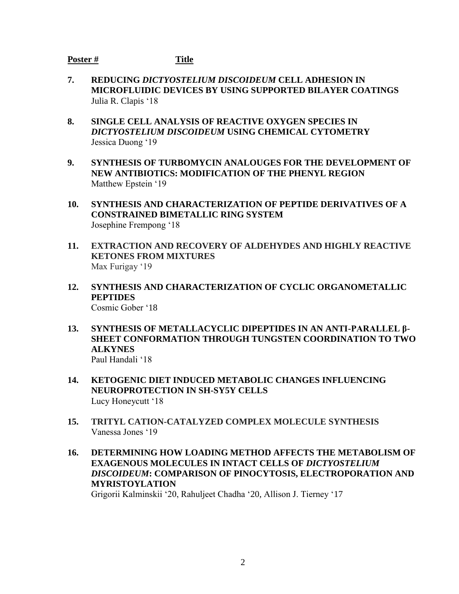### **Poster # Title**

- **7. REDUCING** *DICTYOSTELIUM DISCOIDEUM* **CELL ADHESION IN MICROFLUIDIC DEVICES BY USING SUPPORTED BILAYER COATINGS** Julia R. Clapis '18
- **8. SINGLE CELL ANALYSIS OF REACTIVE OXYGEN SPECIES IN**  *DICTYOSTELIUM DISCOIDEUM* **USING CHEMICAL CYTOMETRY** Jessica Duong '19
- **9. SYNTHESIS OF TURBOMYCIN ANALOUGES FOR THE DEVELOPMENT OF NEW ANTIBIOTICS: MODIFICATION OF THE PHENYL REGION** Matthew Epstein '19
- **10. SYNTHESIS AND CHARACTERIZATION OF PEPTIDE DERIVATIVES OF A CONSTRAINED BIMETALLIC RING SYSTEM** Josephine Frempong '18
- **11. EXTRACTION AND RECOVERY OF ALDEHYDES AND HIGHLY REACTIVE KETONES FROM MIXTURES** Max Furigay '19
- **12. SYNTHESIS AND CHARACTERIZATION OF CYCLIC ORGANOMETALLIC PEPTIDES**

Cosmic Gober '18

- **13. SYNTHESIS OF METALLACYCLIC DIPEPTIDES IN AN ANTI-PARALLEL β-SHEET CONFORMATION THROUGH TUNGSTEN COORDINATION TO TWO ALKYNES** Paul Handali '18
- **14. KETOGENIC DIET INDUCED METABOLIC CHANGES INFLUENCING NEUROPROTECTION IN SH-SY5Y CELLS** Lucy Honeycutt '18
- **15. TRITYL CATION-CATALYZED COMPLEX MOLECULE SYNTHESIS** Vanessa Jones '19
- **16. DETERMINING HOW LOADING METHOD AFFECTS THE METABOLISM OF EXAGENOUS MOLECULES IN INTACT CELLS OF** *DICTYOSTELIUM DISCOIDEUM***: COMPARISON OF PINOCYTOSIS, ELECTROPORATION AND MYRISTOYLATION**

Grigorii Kalminskii '20, Rahuljeet Chadha '20, Allison J. Tierney '17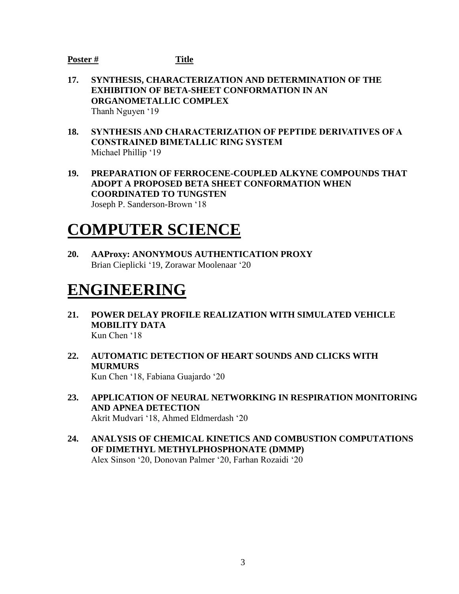## **Poster # Title**

- **17. SYNTHESIS, CHARACTERIZATION AND DETERMINATION OF THE EXHIBITION OF BETA-SHEET CONFORMATION IN AN ORGANOMETALLIC COMPLEX** Thanh Nguyen '19
- **18. SYNTHESIS AND CHARACTERIZATION OF PEPTIDE DERIVATIVES OF A CONSTRAINED BIMETALLIC RING SYSTEM** Michael Phillip '19
- **19. PREPARATION OF FERROCENE-COUPLED ALKYNE COMPOUNDS THAT ADOPT A PROPOSED BETA SHEET CONFORMATION WHEN COORDINATED TO TUNGSTEN** Joseph P. Sanderson-Brown '18

# **COMPUTER SCIENCE**

**20. AAProxy: ANONYMOUS AUTHENTICATION PROXY** Brian Cieplicki '19, Zorawar Moolenaar '20

# **ENGINEERING**

- **21. POWER DELAY PROFILE REALIZATION WITH SIMULATED VEHICLE MOBILITY DATA** Kun Chen '18
- **22. AUTOMATIC DETECTION OF HEART SOUNDS AND CLICKS WITH MURMURS** Kun Chen '18, Fabiana Guajardo '20
- **23. APPLICATION OF NEURAL NETWORKING IN RESPIRATION MONITORING AND APNEA DETECTION** Akrit Mudvari '18, Ahmed Eldmerdash '20
- **24. ANALYSIS OF CHEMICAL KINETICS AND COMBUSTION COMPUTATIONS OF DIMETHYL METHYLPHOSPHONATE (DMMP)**  Alex Sinson '20, Donovan Palmer '20, Farhan Rozaidi '20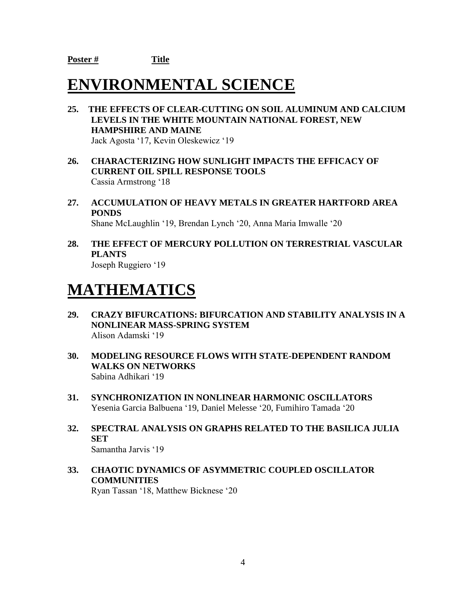# **ENVIRONMENTAL SCIENCE**

- **25. THE EFFECTS OF CLEAR-CUTTING ON SOIL ALUMINUM AND CALCIUM LEVELS IN THE WHITE MOUNTAIN NATIONAL FOREST, NEW HAMPSHIRE AND MAINE** Jack Agosta '17, Kevin Oleskewicz '19
- **26. CHARACTERIZING HOW SUNLIGHT IMPACTS THE EFFICACY OF CURRENT OIL SPILL RESPONSE TOOLS**  Cassia Armstrong '18
- **27. ACCUMULATION OF HEAVY METALS IN GREATER HARTFORD AREA PONDS** Shane McLaughlin '19, Brendan Lynch '20, Anna Maria Imwalle '20
- **28. THE EFFECT OF MERCURY POLLUTION ON TERRESTRIAL VASCULAR PLANTS** Joseph Ruggiero '19

# **MATHEMATICS**

- **29. CRAZY BIFURCATIONS: BIFURCATION AND STABILITY ANALYSIS IN A NONLINEAR MASS-SPRING SYSTEM** Alison Adamski '19
- **30. MODELING RESOURCE FLOWS WITH STATE-DEPENDENT RANDOM WALKS ON NETWORKS** Sabina Adhikari '19
- **31. SYNCHRONIZATION IN NONLINEAR HARMONIC OSCILLATORS**  Yesenia Garcia Balbuena '19, Daniel Melesse '20, Fumihiro Tamada '20
- **32. SPECTRAL ANALYSIS ON GRAPHS RELATED TO THE BASILICA JULIA SET** Samantha Jarvis '19
- **33. CHAOTIC DYNAMICS OF ASYMMETRIC COUPLED OSCILLATOR COMMUNITIES** Ryan Tassan '18, Matthew Bicknese '20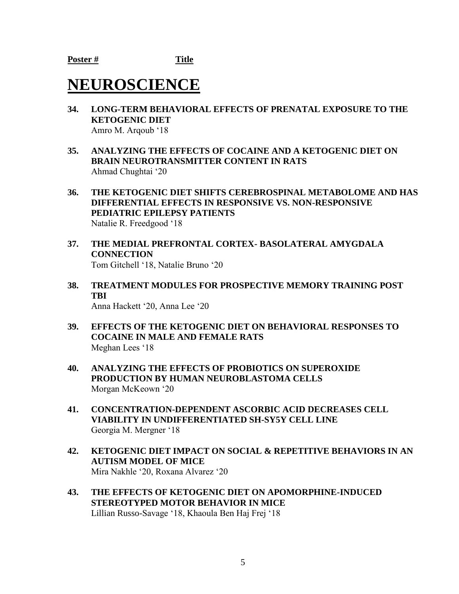# **NEUROSCIENCE**

- **34. LONG-TERM BEHAVIORAL EFFECTS OF PRENATAL EXPOSURE TO THE KETOGENIC DIET**  Amro M. Arqoub '18
- **35. ANALYZING THE EFFECTS OF COCAINE AND A KETOGENIC DIET ON BRAIN NEUROTRANSMITTER CONTENT IN RATS** Ahmad Chughtai '20
- **36. THE KETOGENIC DIET SHIFTS CEREBROSPINAL METABOLOME AND HAS DIFFERENTIAL EFFECTS IN RESPONSIVE VS. NON-RESPONSIVE PEDIATRIC EPILEPSY PATIENTS**  Natalie R. Freedgood '18
- **37. THE MEDIAL PREFRONTAL CORTEX- BASOLATERAL AMYGDALA CONNECTION** Tom Gitchell '18, Natalie Bruno '20
- **38. TREATMENT MODULES FOR PROSPECTIVE MEMORY TRAINING POST TBI** Anna Hackett '20, Anna Lee '20
- **39. EFFECTS OF THE KETOGENIC DIET ON BEHAVIORAL RESPONSES TO COCAINE IN MALE AND FEMALE RATS** Meghan Lees '18
- **40. ANALYZING THE EFFECTS OF PROBIOTICS ON SUPEROXIDE PRODUCTION BY HUMAN NEUROBLASTOMA CELLS** Morgan McKeown '20
- **41. CONCENTRATION-DEPENDENT ASCORBIC ACID DECREASES CELL VIABILITY IN UNDIFFERENTIATED SH-SY5Y CELL LINE** Georgia M. Mergner '18
- **42. KETOGENIC DIET IMPACT ON SOCIAL & REPETITIVE BEHAVIORS IN AN AUTISM MODEL OF MICE** Mira Nakhle '20, Roxana Alvarez '20
- **43. THE EFFECTS OF KETOGENIC DIET ON APOMORPHINE-INDUCED STEREOTYPED MOTOR BEHAVIOR IN MICE** Lillian Russo-Savage '18, Khaoula Ben Haj Frej '18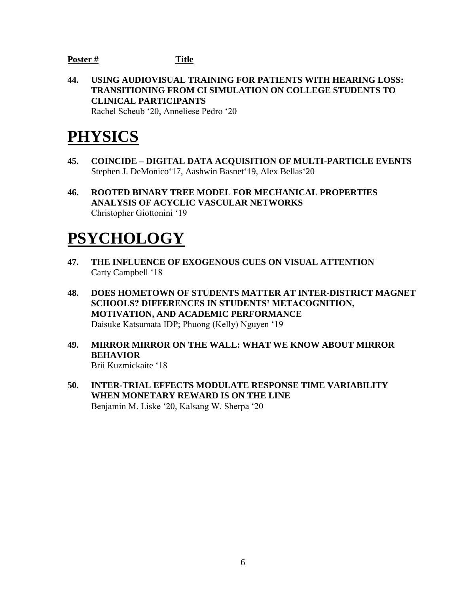#### **Poster # Title**

**44. USING AUDIOVISUAL TRAINING FOR PATIENTS WITH HEARING LOSS: TRANSITIONING FROM CI SIMULATION ON COLLEGE STUDENTS TO CLINICAL PARTICIPANTS** Rachel Scheub '20, Anneliese Pedro '20

**PHYSICS**

- **45. COINCIDE – DIGITAL DATA ACQUISITION OF MULTI-PARTICLE EVENTS** Stephen J. DeMonico'17, Aashwin Basnet'19, Alex Bellas'20
- **46. ROOTED BINARY TREE MODEL FOR MECHANICAL PROPERTIES ANALYSIS OF ACYCLIC VASCULAR NETWORKS** Christopher Giottonini '19

# **PSYCHOLOGY**

- **47. THE INFLUENCE OF EXOGENOUS CUES ON VISUAL ATTENTION** Carty Campbell '18
- **48. DOES HOMETOWN OF STUDENTS MATTER AT INTER-DISTRICT MAGNET SCHOOLS? DIFFERENCES IN STUDENTS' METACOGNITION, MOTIVATION, AND ACADEMIC PERFORMANCE** Daisuke Katsumata IDP; Phuong (Kelly) Nguyen '19
- **49. MIRROR MIRROR ON THE WALL: WHAT WE KNOW ABOUT MIRROR BEHAVIOR** Brii Kuzmickaite '18
- **50. INTER-TRIAL EFFECTS MODULATE RESPONSE TIME VARIABILITY WHEN MONETARY REWARD IS ON THE LINE** Benjamin M. Liske '20, Kalsang W. Sherpa '20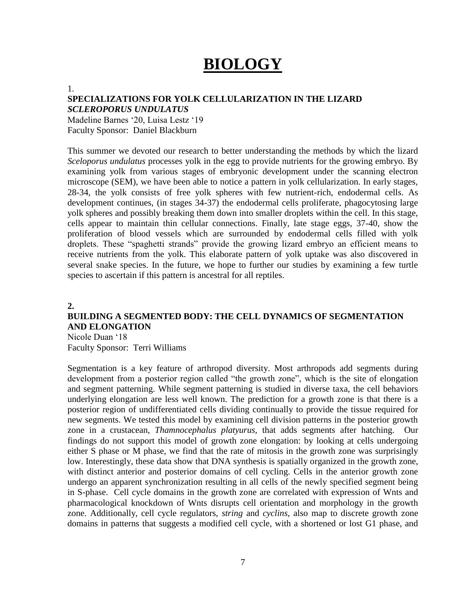# **BIOLOGY**

#### 1.

### **SPECIALIZATIONS FOR YOLK CELLULARIZATION IN THE LIZARD**

*SCLEROPORUS UNDULATUS* Madeline Barnes '20, Luisa Lestz '19 Faculty Sponsor: Daniel Blackburn

This summer we devoted our research to better understanding the methods by which the lizard *Sceloporus undulatus* processes yolk in the egg to provide nutrients for the growing embryo. By examining yolk from various stages of embryonic development under the scanning electron microscope (SEM), we have been able to notice a pattern in yolk cellularization. In early stages, 28-34, the yolk consists of free yolk spheres with few nutrient-rich, endodermal cells. As development continues, (in stages 34-37) the endodermal cells proliferate, phagocytosing large yolk spheres and possibly breaking them down into smaller droplets within the cell. In this stage, cells appear to maintain thin cellular connections. Finally, late stage eggs, 37-40, show the proliferation of blood vessels which are surrounded by endodermal cells filled with yolk droplets. These "spaghetti strands" provide the growing lizard embryo an efficient means to receive nutrients from the yolk. This elaborate pattern of yolk uptake was also discovered in several snake species. In the future, we hope to further our studies by examining a few turtle species to ascertain if this pattern is ancestral for all reptiles.

#### **2.**

### **BUILDING A SEGMENTED BODY: THE CELL DYNAMICS OF SEGMENTATION AND ELONGATION**

Nicole Duan '18 Faculty Sponsor: Terri Williams

Segmentation is a key feature of arthropod diversity. Most arthropods add segments during development from a posterior region called "the growth zone", which is the site of elongation and segment patterning. While segment patterning is studied in diverse taxa, the cell behaviors underlying elongation are less well known. The prediction for a growth zone is that there is a posterior region of undifferentiated cells dividing continually to provide the tissue required for new segments. We tested this model by examining cell division patterns in the posterior growth zone in a crustacean, *Thamnocephalus platyurus,* that adds segments after hatching. Our findings do not support this model of growth zone elongation: by looking at cells undergoing either S phase or M phase, we find that the rate of mitosis in the growth zone was surprisingly low. Interestingly, these data show that DNA synthesis is spatially organized in the growth zone, with distinct anterior and posterior domains of cell cycling. Cells in the anterior growth zone undergo an apparent synchronization resulting in all cells of the newly specified segment being in S-phase. Cell cycle domains in the growth zone are correlated with expression of Wnts and pharmacological knockdown of Wnts disrupts cell orientation and morphology in the growth zone. Additionally, cell cycle regulators, *string* and *cyclins,* also map to discrete growth zone domains in patterns that suggests a modified cell cycle, with a shortened or lost G1 phase, and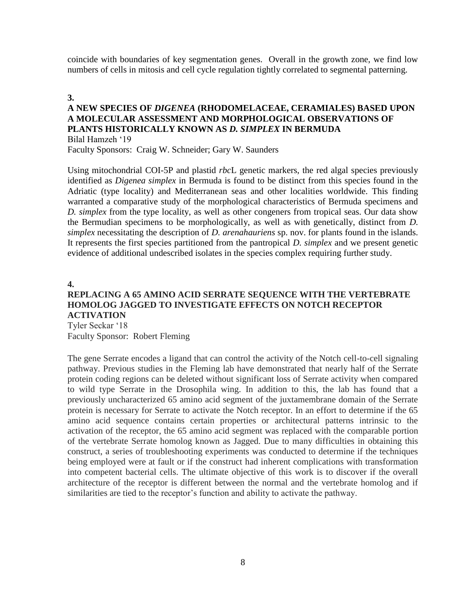coincide with boundaries of key segmentation genes. Overall in the growth zone, we find low numbers of cells in mitosis and cell cycle regulation tightly correlated to segmental patterning.

#### **3.**

#### **A NEW SPECIES OF** *DIGENEA* **(RHODOMELACEAE, CERAMIALES) BASED UPON A MOLECULAR ASSESSMENT AND MORPHOLOGICAL OBSERVATIONS OF PLANTS HISTORICALLY KNOWN AS** *D. SIMPLEX* **IN BERMUDA** Bilal Hamzeh '19

Faculty Sponsors: Craig W. Schneider; Gary W. Saunders

Using mitochondrial COI-5P and plastid *rbc*L genetic markers, the red algal species previously identified as *Digenea simplex* in Bermuda is found to be distinct from this species found in the Adriatic (type locality) and Mediterranean seas and other localities worldwide. This finding warranted a comparative study of the morphological characteristics of Bermuda specimens and *D. simplex* from the type locality, as well as other congeners from tropical seas. Our data show the Bermudian specimens to be morphologically, as well as with genetically, distinct from *D. simplex* necessitating the description of *D. arenahauriens* sp. nov. for plants found in the islands. It represents the first species partitioned from the pantropical *D. simplex* and we present genetic evidence of additional undescribed isolates in the species complex requiring further study.

#### **4.**

## **REPLACING A 65 AMINO ACID SERRATE SEQUENCE WITH THE VERTEBRATE HOMOLOG JAGGED TO INVESTIGATE EFFECTS ON NOTCH RECEPTOR ACTIVATION**

Tyler Seckar '18 Faculty Sponsor: Robert Fleming

The gene Serrate encodes a ligand that can control the activity of the Notch cell-to-cell signaling pathway. Previous studies in the Fleming lab have demonstrated that nearly half of the Serrate protein coding regions can be deleted without significant loss of Serrate activity when compared to wild type Serrate in the Drosophila wing. In addition to this, the lab has found that a previously uncharacterized 65 amino acid segment of the juxtamembrane domain of the Serrate protein is necessary for Serrate to activate the Notch receptor. In an effort to determine if the 65 amino acid sequence contains certain properties or architectural patterns intrinsic to the activation of the receptor, the 65 amino acid segment was replaced with the comparable portion of the vertebrate Serrate homolog known as Jagged. Due to many difficulties in obtaining this construct, a series of troubleshooting experiments was conducted to determine if the techniques being employed were at fault or if the construct had inherent complications with transformation into competent bacterial cells. The ultimate objective of this work is to discover if the overall architecture of the receptor is different between the normal and the vertebrate homolog and if similarities are tied to the receptor's function and ability to activate the pathway.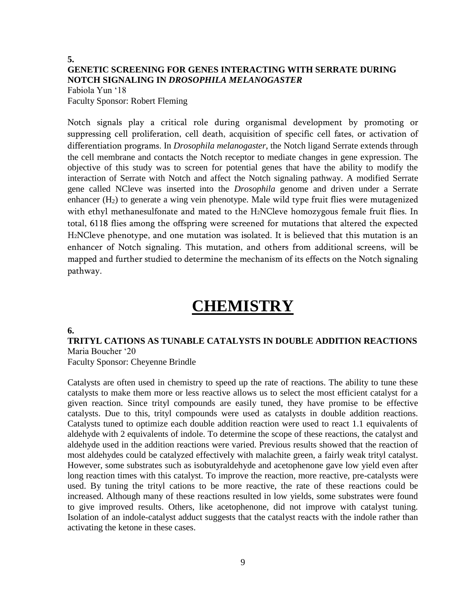# **5. GENETIC SCREENING FOR GENES INTERACTING WITH SERRATE DURING NOTCH SIGNALING IN** *DROSOPHILA MELANOGASTER*

Fabiola Yun '18 Faculty Sponsor: Robert Fleming

Notch signals play a critical role during organismal development by promoting or suppressing cell proliferation, cell death, acquisition of specific cell fates, or activation of differentiation programs. In *Drosophila melanogaster*, the Notch ligand Serrate extends through the cell membrane and contacts the Notch receptor to mediate changes in gene expression. The objective of this study was to screen for potential genes that have the ability to modify the interaction of Serrate with Notch and affect the Notch signaling pathway. A modified Serrate gene called NCleve was inserted into the *Drosophila* genome and driven under a Serrate enhancer  $(H<sub>2</sub>)$  to generate a wing vein phenotype. Male wild type fruit flies were mutagenized with ethyl methanesulfonate and mated to the H<sub>2</sub>NCleve homozygous female fruit flies. In total, 6118 flies among the offspring were screened for mutations that altered the expected H2NCleve phenotype, and one mutation was isolated. It is believed that this mutation is an enhancer of Notch signaling. This mutation, and others from additional screens, will be mapped and further studied to determine the mechanism of its effects on the Notch signaling pathway.

# **CHEMISTRY**

#### **6.**

**TRITYL CATIONS AS TUNABLE CATALYSTS IN DOUBLE ADDITION REACTIONS** Maria Boucher '20

Faculty Sponsor: Cheyenne Brindle

Catalysts are often used in chemistry to speed up the rate of reactions. The ability to tune these catalysts to make them more or less reactive allows us to select the most efficient catalyst for a given reaction. Since trityl compounds are easily tuned, they have promise to be effective catalysts. Due to this, trityl compounds were used as catalysts in double addition reactions. Catalysts tuned to optimize each double addition reaction were used to react 1.1 equivalents of aldehyde with 2 equivalents of indole. To determine the scope of these reactions, the catalyst and aldehyde used in the addition reactions were varied. Previous results showed that the reaction of most aldehydes could be catalyzed effectively with malachite green, a fairly weak trityl catalyst. However, some substrates such as isobutyraldehyde and acetophenone gave low yield even after long reaction times with this catalyst. To improve the reaction, more reactive, pre-catalysts were used. By tuning the trityl cations to be more reactive, the rate of these reactions could be increased. Although many of these reactions resulted in low yields, some substrates were found to give improved results. Others, like acetophenone, did not improve with catalyst tuning. Isolation of an indole-catalyst adduct suggests that the catalyst reacts with the indole rather than activating the ketone in these cases.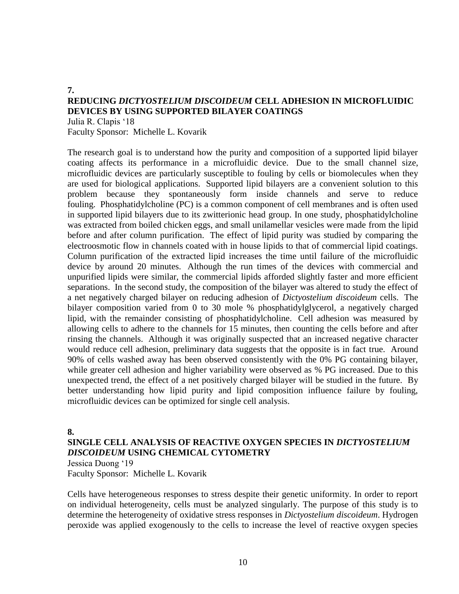#### **7. REDUCING** *DICTYOSTELIUM DISCOIDEUM* **CELL ADHESION IN MICROFLUIDIC DEVICES BY USING SUPPORTED BILAYER COATINGS** Julia R. Clapis '18

Faculty Sponsor: Michelle L. Kovarik

The research goal is to understand how the purity and composition of a supported lipid bilayer coating affects its performance in a microfluidic device. Due to the small channel size, microfluidic devices are particularly susceptible to fouling by cells or biomolecules when they are used for biological applications. Supported lipid bilayers are a convenient solution to this problem because they spontaneously form inside channels and serve to reduce fouling. Phosphatidylcholine (PC) is a common component of cell membranes and is often used in supported lipid bilayers due to its zwitterionic head group. In one study, phosphatidylcholine was extracted from boiled chicken eggs, and small unilamellar vesicles were made from the lipid before and after column purification. The effect of lipid purity was studied by comparing the electroosmotic flow in channels coated with in house lipids to that of commercial lipid coatings. Column purification of the extracted lipid increases the time until failure of the microfluidic device by around 20 minutes. Although the run times of the devices with commercial and unpurified lipids were similar, the commercial lipids afforded slightly faster and more efficient separations. In the second study, the composition of the bilayer was altered to study the effect of a net negatively charged bilayer on reducing adhesion of *Dictyostelium discoideum* cells. The bilayer composition varied from 0 to 30 mole % phosphatidylglycerol, a negatively charged lipid, with the remainder consisting of phosphatidylcholine. Cell adhesion was measured by allowing cells to adhere to the channels for 15 minutes, then counting the cells before and after rinsing the channels. Although it was originally suspected that an increased negative character would reduce cell adhesion, preliminary data suggests that the opposite is in fact true. Around 90% of cells washed away has been observed consistently with the 0% PG containing bilayer, while greater cell adhesion and higher variability were observed as % PG increased. Due to this unexpected trend, the effect of a net positively charged bilayer will be studied in the future. By better understanding how lipid purity and lipid composition influence failure by fouling, microfluidic devices can be optimized for single cell analysis.

#### **8.**

#### **SINGLE CELL ANALYSIS OF REACTIVE OXYGEN SPECIES IN** *DICTYOSTELIUM DISCOIDEUM* **USING CHEMICAL CYTOMETRY**

Jessica Duong '19 Faculty Sponsor: Michelle L. Kovarik

Cells have heterogeneous responses to stress despite their genetic uniformity. In order to report on individual heterogeneity, cells must be analyzed singularly. The purpose of this study is to determine the heterogeneity of oxidative stress responses in *Dictyostelium discoideum*. Hydrogen peroxide was applied exogenously to the cells to increase the level of reactive oxygen species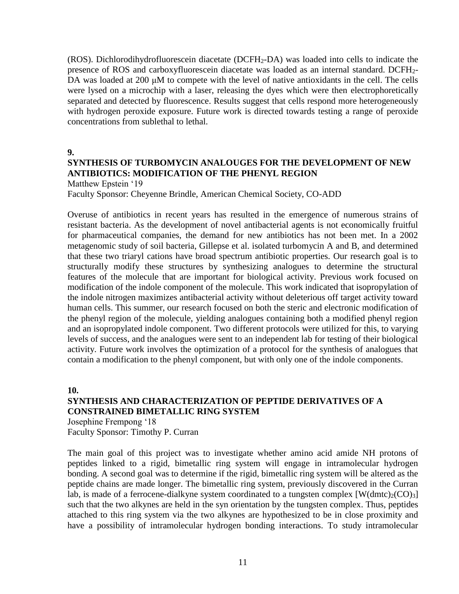(ROS). Dichlorodihydrofluorescein diacetate (DCFH2-DA) was loaded into cells to indicate the presence of ROS and carboxyfluorescein diacetate was loaded as an internal standard. DCFH2- DA was loaded at 200 μM to compete with the level of native antioxidants in the cell. The cells were lysed on a microchip with a laser, releasing the dyes which were then electrophoretically separated and detected by fluorescence. Results suggest that cells respond more heterogeneously with hydrogen peroxide exposure. Future work is directed towards testing a range of peroxide concentrations from sublethal to lethal.

**9.**

# **SYNTHESIS OF TURBOMYCIN ANALOUGES FOR THE DEVELOPMENT OF NEW ANTIBIOTICS: MODIFICATION OF THE PHENYL REGION**

Matthew Epstein '19

Faculty Sponsor: Cheyenne Brindle, American Chemical Society, CO-ADD

Overuse of antibiotics in recent years has resulted in the emergence of numerous strains of resistant bacteria. As the development of novel antibacterial agents is not economically fruitful for pharmaceutical companies, the demand for new antibiotics has not been met. In a 2002 metagenomic study of soil bacteria, Gillepse et al. isolated turbomycin A and B, and determined that these two triaryl cations have broad spectrum antibiotic properties. Our research goal is to structurally modify these structures by synthesizing analogues to determine the structural features of the molecule that are important for biological activity. Previous work focused on modification of the indole component of the molecule. This work indicated that isopropylation of the indole nitrogen maximizes antibacterial activity without deleterious off target activity toward human cells. This summer, our research focused on both the steric and electronic modification of the phenyl region of the molecule, yielding analogues containing both a modified phenyl region and an isopropylated indole component. Two different protocols were utilized for this, to varying levels of success, and the analogues were sent to an independent lab for testing of their biological activity. Future work involves the optimization of a protocol for the synthesis of analogues that contain a modification to the phenyl component, but with only one of the indole components.

**10.**

### **SYNTHESIS AND CHARACTERIZATION OF PEPTIDE DERIVATIVES OF A CONSTRAINED BIMETALLIC RING SYSTEM**

Josephine Frempong '18 Faculty Sponsor: Timothy P. Curran

The main goal of this project was to investigate whether amino acid amide NH protons of peptides linked to a rigid, bimetallic ring system will engage in intramolecular hydrogen bonding. A second goal was to determine if the rigid, bimetallic ring system will be altered as the peptide chains are made longer. The bimetallic ring system, previously discovered in the Curran lab, is made of a ferrocene-dialkyne system coordinated to a tungsten complex  $[W(dmtc)_{2}(CO)_{3}]$ such that the two alkynes are held in the syn orientation by the tungsten complex. Thus, peptides attached to this ring system via the two alkynes are hypothesized to be in close proximity and have a possibility of intramolecular hydrogen bonding interactions. To study intramolecular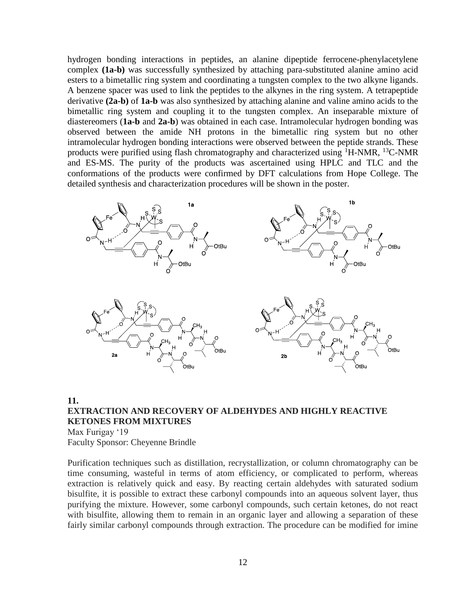hydrogen bonding interactions in peptides, an alanine dipeptide ferrocene-phenylacetylene complex **(1a-b)** was successfully synthesized by attaching para-substituted alanine amino acid esters to a bimetallic ring system and coordinating a tungsten complex to the two alkyne ligands. A benzene spacer was used to link the peptides to the alkynes in the ring system. A tetrapeptide derivative **(2a-b)** of **1a-b** was also synthesized by attaching alanine and valine amino acids to the bimetallic ring system and coupling it to the tungsten complex. An inseparable mixture of diastereomers (**1a-b** and **2a-b**) was obtained in each case. Intramolecular hydrogen bonding was observed between the amide NH protons in the bimetallic ring system but no other intramolecular hydrogen bonding interactions were observed between the peptide strands. These products were purified using flash chromatography and characterized using  ${}^{1}$ H-NMR,  ${}^{13}$ C-NMR and ES-MS. The purity of the products was ascertained using HPLC and TLC and the conformations of the products were confirmed by DFT calculations from Hope College. The detailed synthesis and characterization procedures will be shown in the poster.



## **11. EXTRACTION AND RECOVERY OF ALDEHYDES AND HIGHLY REACTIVE KETONES FROM MIXTURES**

Max Furigay '19 Faculty Sponsor: Cheyenne Brindle

Purification techniques such as distillation, recrystallization, or column chromatography can be time consuming, wasteful in terms of atom efficiency, or complicated to perform, whereas extraction is relatively quick and easy. By reacting certain aldehydes with saturated sodium bisulfite, it is possible to extract these carbonyl compounds into an aqueous solvent layer, thus purifying the mixture. However, some carbonyl compounds, such certain ketones, do not react with bisulfite, allowing them to remain in an organic layer and allowing a separation of these fairly similar carbonyl compounds through extraction. The procedure can be modified for imine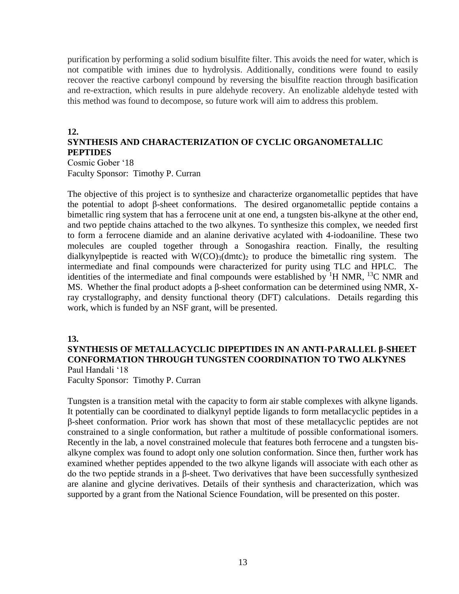purification by performing a solid sodium bisulfite filter. This avoids the need for water, which is not compatible with imines due to hydrolysis. Additionally, conditions were found to easily recover the reactive carbonyl compound by reversing the bisulfite reaction through basification and re-extraction, which results in pure aldehyde recovery. An enolizable aldehyde tested with this method was found to decompose, so future work will aim to address this problem.

# **12.**

# **SYNTHESIS AND CHARACTERIZATION OF CYCLIC ORGANOMETALLIC PEPTIDES**

Cosmic Gober '18 Faculty Sponsor: Timothy P. Curran

The objective of this project is to synthesize and characterize organometallic peptides that have the potential to adopt β-sheet conformations. The desired organometallic peptide contains a bimetallic ring system that has a ferrocene unit at one end, a tungsten bis-alkyne at the other end, and two peptide chains attached to the two alkynes. To synthesize this complex, we needed first to form a ferrocene diamide and an alanine derivative acylated with 4-iodoaniline. These two molecules are coupled together through a Sonogashira reaction. Finally, the resulting dialkynylpeptide is reacted with  $W(CO)_{3}(dm/c)_{2}$  to produce the bimetallic ring system. The intermediate and final compounds were characterized for purity using TLC and HPLC. The identities of the intermediate and final compounds were established by  ${}^{1}H$  NMR,  ${}^{13}C$  NMR and MS. Whether the final product adopts a β-sheet conformation can be determined using NMR, Xray crystallography, and density functional theory (DFT) calculations. Details regarding this work, which is funded by an NSF grant, will be presented.

#### **13.**

#### **SYNTHESIS OF METALLACYCLIC DIPEPTIDES IN AN ANTI-PARALLEL β-SHEET CONFORMATION THROUGH TUNGSTEN COORDINATION TO TWO ALKYNES** Paul Handali '18

Faculty Sponsor: Timothy P. Curran

Tungsten is a transition metal with the capacity to form air stable complexes with alkyne ligands. It potentially can be coordinated to dialkynyl peptide ligands to form metallacyclic peptides in a β-sheet conformation. Prior work has shown that most of these metallacyclic peptides are not constrained to a single conformation, but rather a multitude of possible conformational isomers. Recently in the lab, a novel constrained molecule that features both ferrocene and a tungsten bisalkyne complex was found to adopt only one solution conformation. Since then, further work has examined whether peptides appended to the two alkyne ligands will associate with each other as do the two peptide strands in a β-sheet. Two derivatives that have been successfully synthesized are alanine and glycine derivatives. Details of their synthesis and characterization, which was supported by a grant from the National Science Foundation, will be presented on this poster.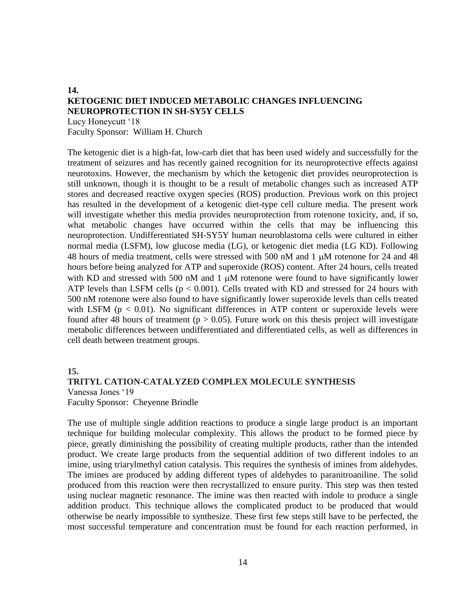#### **14. KETOGENIC DIET INDUCED METABOLIC CHANGES INFLUENCING NEUROPROTECTION IN SH-SY5Y CELLS** Lucy Honeycutt '18

Faculty Sponsor: William H. Church

The ketogenic diet is a high-fat, low-carb diet that has been used widely and successfully for the treatment of seizures and has recently gained recognition for its neuroprotective effects against neurotoxins. However, the mechanism by which the ketogenic diet provides neuroprotection is still unknown, though it is thought to be a result of metabolic changes such as increased ATP stores and decreased reactive oxygen species (ROS) production. Previous work on this project has resulted in the development of a ketogenic diet-type cell culture media. The present work will investigate whether this media provides neuroprotection from rotenone toxicity, and, if so, what metabolic changes have occurred within the cells that may be influencing this neuroprotection. Undifferentiated SH-SY5Y human neuroblastoma cells were cultured in either normal media (LSFM), low glucose media (LG), or ketogenic diet media (LG KD). Following 48 hours of media treatment, cells were stressed with 500 nM and 1  $\mu$ M rotenone for 24 and 48 hours before being analyzed for ATP and superoxide (ROS) content. After 24 hours, cells treated with KD and stressed with 500 nM and  $1 \mu$ M rotenone were found to have significantly lower ATP levels than LSFM cells ( $p < 0.001$ ). Cells treated with KD and stressed for 24 hours with 500 nM rotenone were also found to have significantly lower superoxide levels than cells treated with LSFM ( $p < 0.01$ ). No significant differences in ATP content or superoxide levels were found after 48 hours of treatment ( $p > 0.05$ ). Future work on this thesis project will investigate metabolic differences between undifferentiated and differentiated cells, as well as differences in cell death between treatment groups.

#### **15.**

#### **TRITYL CATION-CATALYZED COMPLEX MOLECULE SYNTHESIS** Vanessa Jones '19 Faculty Sponsor: Cheyenne Brindle

The use of multiple single addition reactions to produce a single large product is an important technique for building molecular complexity. This allows the product to be formed piece by piece, greatly diminishing the possibility of creating multiple products, rather than the intended product. We create large products from the sequential addition of two different indoles to an imine, using triarylmethyl cation catalysis. This requires the synthesis of imines from aldehydes. The imines are produced by adding different types of aldehydes to paranitroaniline. The solid produced from this reaction were then recrystallized to ensure purity. This step was then tested using nuclear magnetic resonance. The imine was then reacted with indole to produce a single addition product. This technique allows the complicated product to be produced that would otherwise be nearly impossible to synthesize. These first few steps still have to be perfected, the most successful temperature and concentration must be found for each reaction performed, in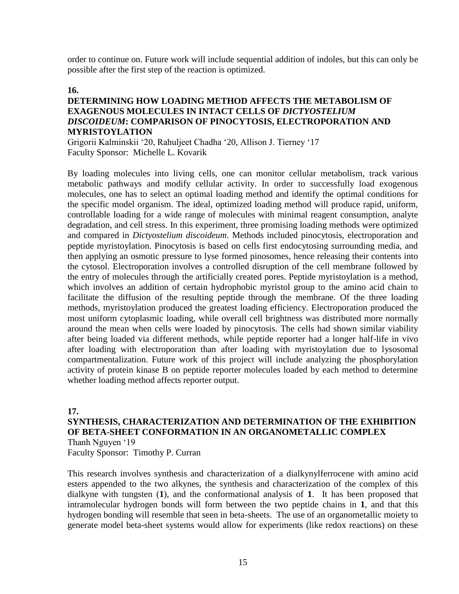order to continue on. Future work will include sequential addition of indoles, but this can only be possible after the first step of the reaction is optimized.

#### **16.**

#### **DETERMINING HOW LOADING METHOD AFFECTS THE METABOLISM OF EXAGENOUS MOLECULES IN INTACT CELLS OF** *DICTYOSTELIUM DISCOIDEUM***: COMPARISON OF PINOCYTOSIS, ELECTROPORATION AND MYRISTOYLATION**

Grigorii Kalminskii '20, Rahuljeet Chadha '20, Allison J. Tierney '17 Faculty Sponsor: Michelle L. Kovarik

By loading molecules into living cells, one can monitor cellular metabolism, track various metabolic pathways and modify cellular activity. In order to successfully load exogenous molecules, one has to select an optimal loading method and identify the optimal conditions for the specific model organism. The ideal, optimized loading method will produce rapid, uniform, controllable loading for a wide range of molecules with minimal reagent consumption, analyte degradation, and cell stress. In this experiment, three promising loading methods were optimized and compared in *Dictyostelium discoideum*. Methods included pinocytosis, electroporation and peptide myristoylation. Pinocytosis is based on cells first endocytosing surrounding media, and then applying an osmotic pressure to lyse formed pinosomes, hence releasing their contents into the cytosol. Electroporation involves a controlled disruption of the cell membrane followed by the entry of molecules through the artificially created pores. Peptide myristoylation is a method, which involves an addition of certain hydrophobic myristol group to the amino acid chain to facilitate the diffusion of the resulting peptide through the membrane. Of the three loading methods, myristoylation produced the greatest loading efficiency. Electroporation produced the most uniform cytoplasmic loading, while overall cell brightness was distributed more normally around the mean when cells were loaded by pinocytosis. The cells had shown similar viability after being loaded via different methods, while peptide reporter had a longer half-life in vivo after loading with electroporation than after loading with myristoylation due to lysosomal compartmentalization. Future work of this project will include analyzing the phosphorylation activity of protein kinase B on peptide reporter molecules loaded by each method to determine whether loading method affects reporter output.

#### **17.**

#### **SYNTHESIS, CHARACTERIZATION AND DETERMINATION OF THE EXHIBITION OF BETA-SHEET CONFORMATION IN AN ORGANOMETALLIC COMPLEX** Thanh Nguyen '19

Faculty Sponsor: Timothy P. Curran

This research involves synthesis and characterization of a dialkynylferrocene with amino acid esters appended to the two alkynes, the synthesis and characterization of the complex of this dialkyne with tungsten (**1**), and the conformational analysis of **1**. It has been proposed that intramolecular hydrogen bonds will form between the two peptide chains in **1**, and that this hydrogen bonding will resemble that seen in beta-sheets. The use of an organometallic moiety to generate model beta-sheet systems would allow for experiments (like redox reactions) on these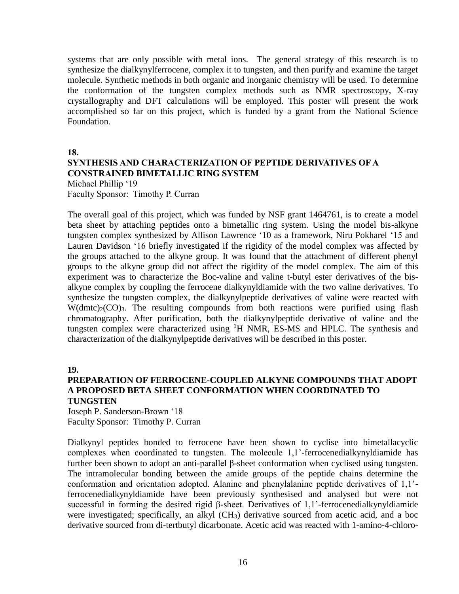systems that are only possible with metal ions. The general strategy of this research is to synthesize the dialkynylferrocene, complex it to tungsten, and then purify and examine the target molecule. Synthetic methods in both organic and inorganic chemistry will be used. To determine the conformation of the tungsten complex methods such as NMR spectroscopy, X-ray crystallography and DFT calculations will be employed. This poster will present the work accomplished so far on this project, which is funded by a grant from the National Science Foundation.

**18.**

# **SYNTHESIS AND CHARACTERIZATION OF PEPTIDE DERIVATIVES OF A CONSTRAINED BIMETALLIC RING SYSTEM**

Michael Phillip '19 Faculty Sponsor: Timothy P. Curran

The overall goal of this project, which was funded by NSF grant 1464761, is to create a model beta sheet by attaching peptides onto a bimetallic ring system. Using the model bis-alkyne tungsten complex synthesized by Allison Lawrence '10 as a framework, Niru Pokharel '15 and Lauren Davidson '16 briefly investigated if the rigidity of the model complex was affected by the groups attached to the alkyne group. It was found that the attachment of different phenyl groups to the alkyne group did not affect the rigidity of the model complex. The aim of this experiment was to characterize the Boc-valine and valine t-butyl ester derivatives of the bisalkyne complex by coupling the ferrocene dialkynyldiamide with the two valine derivatives. To synthesize the tungsten complex, the dialkynylpeptide derivatives of valine were reacted with  $W(dmtc)<sub>2</sub>(CO)<sub>3</sub>$ . The resulting compounds from both reactions were purified using flash chromatography. After purification, both the dialkynylpeptide derivative of valine and the tungsten complex were characterized using <sup>1</sup>H NMR, ES-MS and HPLC. The synthesis and characterization of the dialkynylpeptide derivatives will be described in this poster.

**19.**

#### **PREPARATION OF FERROCENE-COUPLED ALKYNE COMPOUNDS THAT ADOPT A PROPOSED BETA SHEET CONFORMATION WHEN COORDINATED TO TUNGSTEN**

Joseph P. Sanderson-Brown '18 Faculty Sponsor: Timothy P. Curran

Dialkynyl peptides bonded to ferrocene have been shown to cyclise into bimetallacyclic complexes when coordinated to tungsten. The molecule 1,1'-ferrocenedialkynyldiamide has further been shown to adopt an anti-parallel β-sheet conformation when cyclised using tungsten. The intramolecular bonding between the amide groups of the peptide chains determine the conformation and orientation adopted. Alanine and phenylalanine peptide derivatives of 1,1' ferrocenedialkynyldiamide have been previously synthesised and analysed but were not successful in forming the desired rigid β-sheet. Derivatives of 1,1'-ferrocenedialkynyldiamide were investigated; specifically, an alkyl (CH3) derivative sourced from acetic acid, and a boc derivative sourced from di-tertbutyl dicarbonate. Acetic acid was reacted with 1-amino-4-chloro-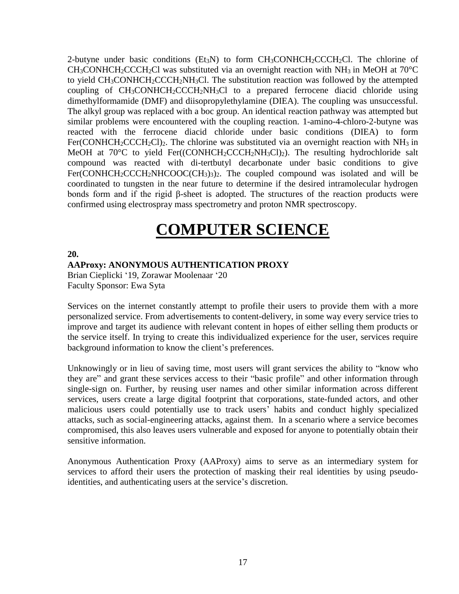2-butyne under basic conditions (Et<sub>3</sub>N) to form  $CH_3CONHCH_2CCCH_2Cl$ . The chlorine of  $CH<sub>3</sub>CONHCH<sub>2</sub>CCCH<sub>2</sub>Cl$  was substituted via an overnight reaction with NH<sub>3</sub> in MeOH at 70<sup>o</sup>C to yield  $CH<sub>3</sub>CONHCH<sub>2</sub>CCCH<sub>2</sub>NH<sub>3</sub>Cl.$  The substitution reaction was followed by the attempted coupling of  $CH_3CONHCH_2CCCH_2NH_3Cl$  to a prepared ferrocene diacid chloride using dimethylformamide (DMF) and diisopropylethylamine (DIEA). The coupling was unsuccessful. The alkyl group was replaced with a boc group. An identical reaction pathway was attempted but similar problems were encountered with the coupling reaction. 1-amino-4-chloro-2-butyne was reacted with the ferrocene diacid chloride under basic conditions (DIEA) to form Fer(CONHCH<sub>2</sub>CCCH<sub>2</sub>Cl)<sub>2</sub>. The chlorine was substituted via an overnight reaction with NH<sub>3</sub> in MeOH at 70 $\degree$ C to yield Fer((CONHCH<sub>2</sub>CCCH<sub>2</sub>NH<sub>3</sub>Cl)<sub>2</sub>). The resulting hydrochloride salt compound was reacted with di-tertbutyl decarbonate under basic conditions to give  $Fer(CONHCH<sub>2</sub>CCCH<sub>2</sub>NHCOOC(CH<sub>3</sub>)<sub>3</sub>)<sub>2</sub>$ . The coupled compound was isolated and will be coordinated to tungsten in the near future to determine if the desired intramolecular hydrogen bonds form and if the rigid β-sheet is adopted. The structures of the reaction products were confirmed using electrospray mass spectrometry and proton NMR spectroscopy.

# **COMPUTER SCIENCE**

**20.**

#### **AAProxy: ANONYMOUS AUTHENTICATION PROXY**

Brian Cieplicki '19, Zorawar Moolenaar '20 Faculty Sponsor: Ewa Syta

Services on the internet constantly attempt to profile their users to provide them with a more personalized service. From advertisements to content-delivery, in some way every service tries to improve and target its audience with relevant content in hopes of either selling them products or the service itself. In trying to create this individualized experience for the user, services require background information to know the client's preferences.

Unknowingly or in lieu of saving time, most users will grant services the ability to "know who they are" and grant these services access to their "basic profile" and other information through single-sign on. Further, by reusing user names and other similar information across different services, users create a large digital footprint that corporations, state-funded actors, and other malicious users could potentially use to track users' habits and conduct highly specialized attacks, such as social-engineering attacks, against them. In a scenario where a service becomes compromised, this also leaves users vulnerable and exposed for anyone to potentially obtain their sensitive information.

Anonymous Authentication Proxy (AAProxy) aims to serve as an intermediary system for services to afford their users the protection of masking their real identities by using pseudoidentities, and authenticating users at the service's discretion.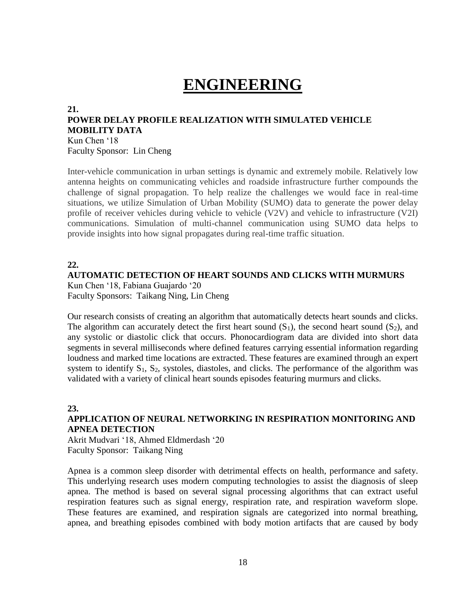# **ENGINEERING**

#### **21. POWER DELAY PROFILE REALIZATION WITH SIMULATED VEHICLE MOBILITY DATA** Kun Chen '18

Faculty Sponsor: Lin Cheng

Inter-vehicle communication in urban settings is dynamic and extremely mobile. Relatively low antenna heights on communicating vehicles and roadside infrastructure further compounds the challenge of signal propagation. To help realize the challenges we would face in real-time situations, we utilize Simulation of Urban Mobility (SUMO) data to generate the power delay profile of receiver vehicles during vehicle to vehicle (V2V) and vehicle to infrastructure (V2I) communications. Simulation of multi-channel communication using SUMO data helps to provide insights into how signal propagates during real-time traffic situation.

#### **22.**

## **AUTOMATIC DETECTION OF HEART SOUNDS AND CLICKS WITH MURMURS**

Kun Chen '18, Fabiana Guajardo '20 Faculty Sponsors: Taikang Ning, Lin Cheng

Our research consists of creating an algorithm that automatically detects heart sounds and clicks. The algorithm can accurately detect the first heart sound  $(S_1)$ , the second heart sound  $(S_2)$ , and any systolic or diastolic click that occurs. Phonocardiogram data are divided into short data segments in several milliseconds where defined features carrying essential information regarding loudness and marked time locations are extracted. These features are examined through an expert system to identify  $S_1$ ,  $S_2$ , systoles, diastoles, and clicks. The performance of the algorithm was validated with a variety of clinical heart sounds episodes featuring murmurs and clicks.

#### **23.**

### **APPLICATION OF NEURAL NETWORKING IN RESPIRATION MONITORING AND APNEA DETECTION**

Akrit Mudvari '18, Ahmed Eldmerdash '20 Faculty Sponsor: Taikang Ning

Apnea is a common sleep disorder with detrimental effects on health, performance and safety. This underlying research uses modern computing technologies to assist the diagnosis of sleep apnea. The method is based on several signal processing algorithms that can extract useful respiration features such as signal energy, respiration rate, and respiration waveform slope. These features are examined, and respiration signals are categorized into normal breathing, apnea, and breathing episodes combined with body motion artifacts that are caused by body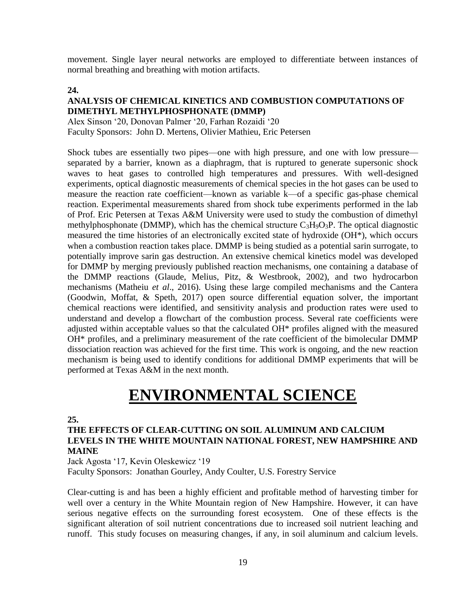movement. Single layer neural networks are employed to differentiate between instances of normal breathing and breathing with motion artifacts.

#### **24.**

#### **ANALYSIS OF CHEMICAL KINETICS AND COMBUSTION COMPUTATIONS OF DIMETHYL METHYLPHOSPHONATE (DMMP)**

Alex Sinson '20, Donovan Palmer '20, Farhan Rozaidi '20 Faculty Sponsors: John D. Mertens, Olivier Mathieu, Eric Petersen

Shock tubes are essentially two pipes—one with high pressure, and one with low pressure separated by a barrier, known as a diaphragm, that is ruptured to generate supersonic shock waves to heat gases to controlled high temperatures and pressures. With well-designed experiments, optical diagnostic measurements of chemical species in the hot gases can be used to measure the reaction rate coefficient—known as variable k—of a specific gas-phase chemical reaction. Experimental measurements shared from shock tube experiments performed in the lab of Prof. Eric Petersen at Texas A&M University were used to study the combustion of dimethyl methylphosphonate (DMMP), which has the chemical structure  $C_3H_9O_3P$ . The optical diagnostic measured the time histories of an electronically excited state of hydroxide (OH\*), which occurs when a combustion reaction takes place. DMMP is being studied as a potential sarin surrogate, to potentially improve sarin gas destruction. An extensive chemical kinetics model was developed for DMMP by merging previously published reaction mechanisms, one containing a database of the DMMP reactions (Glaude, Melius, Pitz, & Westbrook, 2002), and two hydrocarbon mechanisms (Matheiu *et al*., 2016). Using these large compiled mechanisms and the Cantera (Goodwin, Moffat, & Speth, 2017) open source differential equation solver, the important chemical reactions were identified, and sensitivity analysis and production rates were used to understand and develop a flowchart of the combustion process. Several rate coefficients were adjusted within acceptable values so that the calculated OH\* profiles aligned with the measured OH\* profiles, and a preliminary measurement of the rate coefficient of the bimolecular DMMP dissociation reaction was achieved for the first time. This work is ongoing, and the new reaction mechanism is being used to identify conditions for additional DMMP experiments that will be performed at Texas A&M in the next month.

# **ENVIRONMENTAL SCIENCE**

### **25.**

#### **THE EFFECTS OF CLEAR-CUTTING ON SOIL ALUMINUM AND CALCIUM LEVELS IN THE WHITE MOUNTAIN NATIONAL FOREST, NEW HAMPSHIRE AND MAINE**

Jack Agosta '17, Kevin Oleskewicz '19

Faculty Sponsors: Jonathan Gourley, Andy Coulter, U.S. Forestry Service

Clear-cutting is and has been a highly efficient and profitable method of harvesting timber for well over a century in the White Mountain region of New Hampshire. However, it can have serious negative effects on the surrounding forest ecosystem. One of these effects is the significant alteration of soil nutrient concentrations due to increased soil nutrient leaching and runoff. This study focuses on measuring changes, if any, in soil aluminum and calcium levels.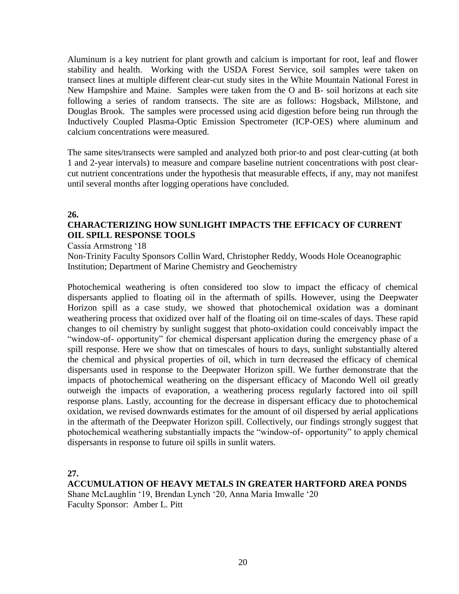Aluminum is a key nutrient for plant growth and calcium is important for root, leaf and flower stability and health. Working with the USDA Forest Service, soil samples were taken on transect lines at multiple different clear-cut study sites in the White Mountain National Forest in New Hampshire and Maine. Samples were taken from the O and B- soil horizons at each site following a series of random transects. The site are as follows: Hogsback, Millstone, and Douglas Brook. The samples were processed using acid digestion before being run through the Inductively Coupled Plasma-Optic Emission Spectrometer (ICP-OES) where aluminum and calcium concentrations were measured.

The same sites/transects were sampled and analyzed both prior-to and post clear-cutting (at both 1 and 2-year intervals) to measure and compare baseline nutrient concentrations with post clearcut nutrient concentrations under the hypothesis that measurable effects, if any, may not manifest until several months after logging operations have concluded.

#### **26.**

# **CHARACTERIZING HOW SUNLIGHT IMPACTS THE EFFICACY OF CURRENT OIL SPILL RESPONSE TOOLS**

Cassia Armstrong '18

Non-Trinity Faculty Sponsors Collin Ward, Christopher Reddy, Woods Hole Oceanographic Institution; Department of Marine Chemistry and Geochemistry

Photochemical weathering is often considered too slow to impact the efficacy of chemical dispersants applied to floating oil in the aftermath of spills. However, using the Deepwater Horizon spill as a case study, we showed that photochemical oxidation was a dominant weathering process that oxidized over half of the floating oil on time-scales of days. These rapid changes to oil chemistry by sunlight suggest that photo-oxidation could conceivably impact the "window-of- opportunity" for chemical dispersant application during the emergency phase of a spill response. Here we show that on timescales of hours to days, sunlight substantially altered the chemical and physical properties of oil, which in turn decreased the efficacy of chemical dispersants used in response to the Deepwater Horizon spill. We further demonstrate that the impacts of photochemical weathering on the dispersant efficacy of Macondo Well oil greatly outweigh the impacts of evaporation, a weathering process regularly factored into oil spill response plans. Lastly, accounting for the decrease in dispersant efficacy due to photochemical oxidation, we revised downwards estimates for the amount of oil dispersed by aerial applications in the aftermath of the Deepwater Horizon spill. Collectively, our findings strongly suggest that photochemical weathering substantially impacts the "window-of- opportunity" to apply chemical dispersants in response to future oil spills in sunlit waters.

**27.**

**ACCUMULATION OF HEAVY METALS IN GREATER HARTFORD AREA PONDS** Shane McLaughlin '19, Brendan Lynch '20, Anna Maria Imwalle '20 Faculty Sponsor: Amber L. Pitt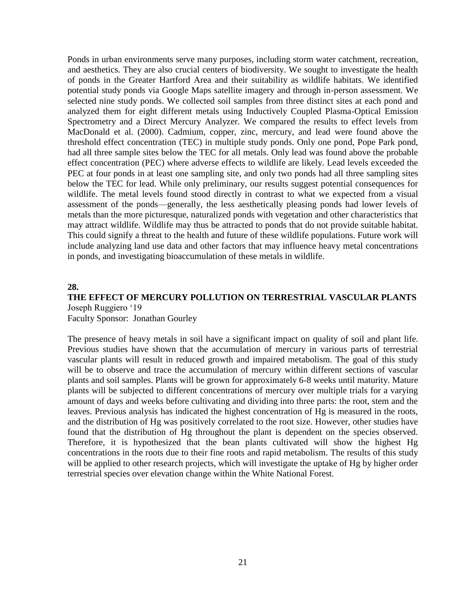Ponds in urban environments serve many purposes, including storm water catchment, recreation, and aesthetics. They are also crucial centers of biodiversity. We sought to investigate the health of ponds in the Greater Hartford Area and their suitability as wildlife habitats. We identified potential study ponds via Google Maps satellite imagery and through in-person assessment. We selected nine study ponds. We collected soil samples from three distinct sites at each pond and analyzed them for eight different metals using Inductively Coupled Plasma-Optical Emission Spectrometry and a Direct Mercury Analyzer. We compared the results to effect levels from MacDonald et al. (2000). Cadmium, copper, zinc, mercury, and lead were found above the threshold effect concentration (TEC) in multiple study ponds. Only one pond, Pope Park pond, had all three sample sites below the TEC for all metals. Only lead was found above the probable effect concentration (PEC) where adverse effects to wildlife are likely. Lead levels exceeded the PEC at four ponds in at least one sampling site, and only two ponds had all three sampling sites below the TEC for lead. While only preliminary, our results suggest potential consequences for wildlife. The metal levels found stood directly in contrast to what we expected from a visual assessment of the ponds—generally, the less aesthetically pleasing ponds had lower levels of metals than the more picturesque, naturalized ponds with vegetation and other characteristics that may attract wildlife. Wildlife may thus be attracted to ponds that do not provide suitable habitat. This could signify a threat to the health and future of these wildlife populations. Future work will include analyzing land use data and other factors that may influence heavy metal concentrations in ponds, and investigating bioaccumulation of these metals in wildlife.

#### **28.**

#### **THE EFFECT OF MERCURY POLLUTION ON TERRESTRIAL VASCULAR PLANTS** Joseph Ruggiero '19

Faculty Sponsor: Jonathan Gourley

The presence of heavy metals in soil have a significant impact on quality of soil and plant life. Previous studies have shown that the accumulation of mercury in various parts of terrestrial vascular plants will result in reduced growth and impaired metabolism. The goal of this study will be to observe and trace the accumulation of mercury within different sections of vascular plants and soil samples. Plants will be grown for approximately 6-8 weeks until maturity. Mature plants will be subjected to different concentrations of mercury over multiple trials for a varying amount of days and weeks before cultivating and dividing into three parts: the root, stem and the leaves. Previous analysis has indicated the highest concentration of Hg is measured in the roots, and the distribution of Hg was positively correlated to the root size. However, other studies have found that the distribution of Hg throughout the plant is dependent on the species observed. Therefore, it is hypothesized that the bean plants cultivated will show the highest Hg concentrations in the roots due to their fine roots and rapid metabolism. The results of this study will be applied to other research projects, which will investigate the uptake of Hg by higher order terrestrial species over elevation change within the White National Forest.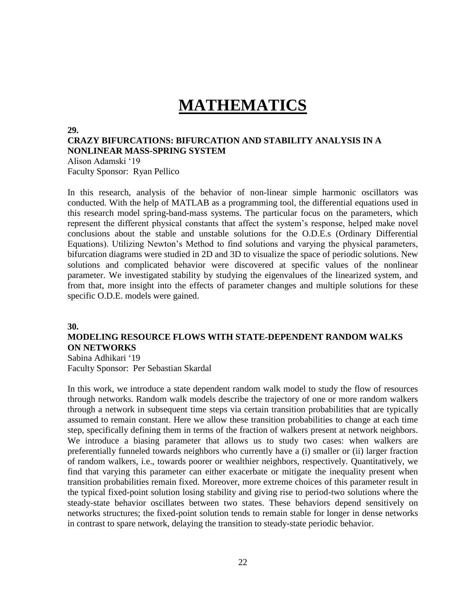# **MATHEMATICS**

#### **29.**

#### **CRAZY BIFURCATIONS: BIFURCATION AND STABILITY ANALYSIS IN A NONLINEAR MASS-SPRING SYSTEM**

Alison Adamski '19 Faculty Sponsor: Ryan Pellico

In this research, analysis of the behavior of non-linear simple harmonic oscillators was conducted. With the help of MATLAB as a programming tool, the differential equations used in this research model spring-band-mass systems. The particular focus on the parameters, which represent the different physical constants that affect the system's response, helped make novel conclusions about the stable and unstable solutions for the O.D.E.s (Ordinary Differential Equations). Utilizing Newton's Method to find solutions and varying the physical parameters, bifurcation diagrams were studied in 2D and 3D to visualize the space of periodic solutions. New solutions and complicated behavior were discovered at specific values of the nonlinear parameter. We investigated stability by studying the eigenvalues of the linearized system, and from that, more insight into the effects of parameter changes and multiple solutions for these specific O.D.E. models were gained.

#### **30.**

### **MODELING RESOURCE FLOWS WITH STATE-DEPENDENT RANDOM WALKS ON NETWORKS**

Sabina Adhikari '19 Faculty Sponsor: Per Sebastian Skardal

In this work, we introduce a state dependent random walk model to study the flow of resources through networks. Random walk models describe the trajectory of one or more random walkers through a network in subsequent time steps via certain transition probabilities that are typically assumed to remain constant. Here we allow these transition probabilities to change at each time step, specifically defining them in terms of the fraction of walkers present at network neighbors. We introduce a biasing parameter that allows us to study two cases: when walkers are preferentially funneled towards neighbors who currently have a (i) smaller or (ii) larger fraction of random walkers, i.e., towards poorer or wealthier neighbors, respectively. Quantitatively, we find that varying this parameter can either exacerbate or mitigate the inequality present when transition probabilities remain fixed. Moreover, more extreme choices of this parameter result in the typical fixed-point solution losing stability and giving rise to period-two solutions where the steady-state behavior oscillates between two states. These behaviors depend sensitively on networks structures; the fixed-point solution tends to remain stable for longer in dense networks in contrast to spare network, delaying the transition to steady-state periodic behavior.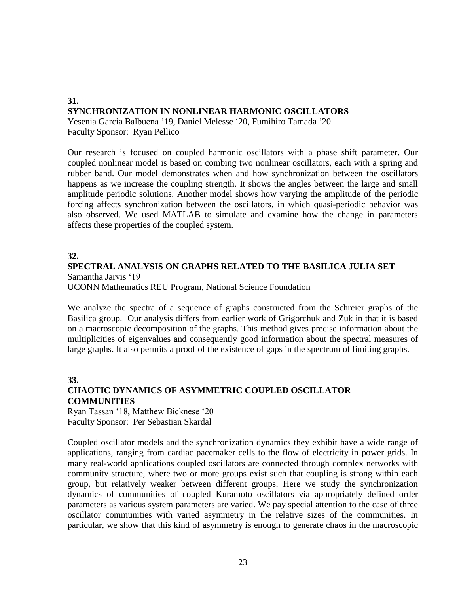# **31. SYNCHRONIZATION IN NONLINEAR HARMONIC OSCILLATORS**

Yesenia Garcia Balbuena '19, Daniel Melesse '20, Fumihiro Tamada '20 Faculty Sponsor: Ryan Pellico

Our research is focused on coupled harmonic oscillators with a phase shift parameter. Our coupled nonlinear model is based on combing two nonlinear oscillators, each with a spring and rubber band. Our model demonstrates when and how synchronization between the oscillators happens as we increase the coupling strength. It shows the angles between the large and small amplitude periodic solutions. Another model shows how varying the amplitude of the periodic forcing affects synchronization between the oscillators, in which quasi-periodic behavior was also observed. We used MATLAB to simulate and examine how the change in parameters affects these properties of the coupled system.

#### **32.**

## **SPECTRAL ANALYSIS ON GRAPHS RELATED TO THE BASILICA JULIA SET** Samantha Jarvis '19

UCONN Mathematics REU Program, National Science Foundation

We analyze the spectra of a sequence of graphs constructed from the Schreier graphs of the Basilica group. Our analysis differs from earlier work of Grigorchuk and Zuk in that it is based on a macroscopic decomposition of the graphs. This method gives precise information about the multiplicities of eigenvalues and consequently good information about the spectral measures of large graphs. It also permits a proof of the existence of gaps in the spectrum of limiting graphs.

## **33. CHAOTIC DYNAMICS OF ASYMMETRIC COUPLED OSCILLATOR COMMUNITIES**

Ryan Tassan '18, Matthew Bicknese '20 Faculty Sponsor: Per Sebastian Skardal

Coupled oscillator models and the synchronization dynamics they exhibit have a wide range of applications, ranging from cardiac pacemaker cells to the flow of electricity in power grids. In many real-world applications coupled oscillators are connected through complex networks with community structure, where two or more groups exist such that coupling is strong within each group, but relatively weaker between different groups. Here we study the synchronization dynamics of communities of coupled Kuramoto oscillators via appropriately defined order parameters as various system parameters are varied. We pay special attention to the case of three oscillator communities with varied asymmetry in the relative sizes of the communities. In particular, we show that this kind of asymmetry is enough to generate chaos in the macroscopic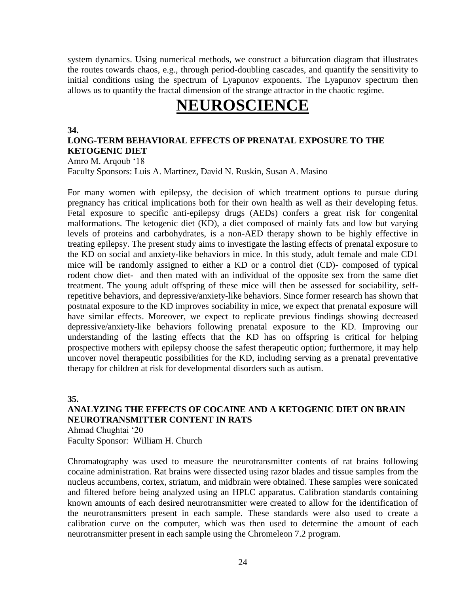system dynamics. Using numerical methods, we construct a bifurcation diagram that illustrates the routes towards chaos, e.g., through period-doubling cascades, and quantify the sensitivity to initial conditions using the spectrum of Lyapunov exponents. The Lyapunov spectrum then allows us to quantify the fractal dimension of the strange attractor in the chaotic regime.

# **NEUROSCIENCE**

#### **34.**

#### **LONG-TERM BEHAVIORAL EFFECTS OF PRENATAL EXPOSURE TO THE KETOGENIC DIET**

Amro M. Arqoub '18 Faculty Sponsors: Luis A. Martinez, David N. Ruskin, Susan A. Masino

For many women with epilepsy, the decision of which treatment options to pursue during pregnancy has critical implications both for their own health as well as their developing fetus. Fetal exposure to specific anti-epilepsy drugs (AEDs) confers a great risk for congenital malformations. The ketogenic diet (KD), a diet composed of mainly fats and low but varying levels of proteins and carbohydrates, is a non-AED therapy shown to be highly effective in treating epilepsy. The present study aims to investigate the lasting effects of prenatal exposure to the KD on social and anxiety-like behaviors in mice. In this study, adult female and male CD1 mice will be randomly assigned to either a KD or a control diet (CD)- composed of typical rodent chow diet- and then mated with an individual of the opposite sex from the same diet treatment. The young adult offspring of these mice will then be assessed for sociability, selfrepetitive behaviors, and depressive/anxiety-like behaviors. Since former research has shown that postnatal exposure to the KD improves sociability in mice, we expect that prenatal exposure will have similar effects. Moreover, we expect to replicate previous findings showing decreased depressive/anxiety-like behaviors following prenatal exposure to the KD. Improving our understanding of the lasting effects that the KD has on offspring is critical for helping prospective mothers with epilepsy choose the safest therapeutic option; furthermore, it may help uncover novel therapeutic possibilities for the KD, including serving as a prenatal preventative therapy for children at risk for developmental disorders such as autism.

**35.**

## **ANALYZING THE EFFECTS OF COCAINE AND A KETOGENIC DIET ON BRAIN NEUROTRANSMITTER CONTENT IN RATS**

Ahmad Chughtai '20 Faculty Sponsor: William H. Church

Chromatography was used to measure the neurotransmitter contents of rat brains following cocaine administration. Rat brains were dissected using razor blades and tissue samples from the nucleus accumbens, cortex, striatum, and midbrain were obtained. These samples were sonicated and filtered before being analyzed using an HPLC apparatus. Calibration standards containing known amounts of each desired neurotransmitter were created to allow for the identification of the neurotransmitters present in each sample. These standards were also used to create a calibration curve on the computer, which was then used to determine the amount of each neurotransmitter present in each sample using the Chromeleon 7.2 program.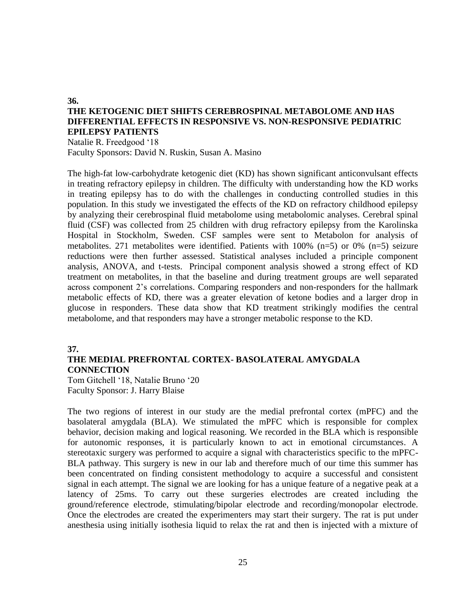### **THE KETOGENIC DIET SHIFTS CEREBROSPINAL METABOLOME AND HAS DIFFERENTIAL EFFECTS IN RESPONSIVE VS. NON-RESPONSIVE PEDIATRIC EPILEPSY PATIENTS**

Natalie R. Freedgood '18 Faculty Sponsors: David N. Ruskin, Susan A. Masino

The high-fat low-carbohydrate ketogenic diet (KD) has shown significant anticonvulsant effects in treating refractory epilepsy in children. The difficulty with understanding how the KD works in treating epilepsy has to do with the challenges in conducting controlled studies in this population. In this study we investigated the effects of the KD on refractory childhood epilepsy by analyzing their cerebrospinal fluid metabolome using metabolomic analyses. Cerebral spinal fluid (CSF) was collected from 25 children with drug refractory epilepsy from the Karolinska Hospital in Stockholm, Sweden. CSF samples were sent to Metabolon for analysis of metabolites. 271 metabolites were identified. Patients with 100% (n=5) or 0% (n=5) seizure reductions were then further assessed. Statistical analyses included a principle component analysis, ANOVA, and t-tests. Principal component analysis showed a strong effect of KD treatment on metabolites, in that the baseline and during treatment groups are well separated across component 2's correlations. Comparing responders and non-responders for the hallmark metabolic effects of KD, there was a greater elevation of ketone bodies and a larger drop in glucose in responders. These data show that KD treatment strikingly modifies the central metabolome, and that responders may have a stronger metabolic response to the KD.

#### **37.**

**36.**

### **THE MEDIAL PREFRONTAL CORTEX- BASOLATERAL AMYGDALA CONNECTION**

Tom Gitchell '18, Natalie Bruno '20 Faculty Sponsor: J. Harry Blaise

The two regions of interest in our study are the medial prefrontal cortex (mPFC) and the basolateral amygdala (BLA). We stimulated the mPFC which is responsible for complex behavior, decision making and logical reasoning. We recorded in the BLA which is responsible for autonomic responses, it is particularly known to act in emotional circumstances. A stereotaxic surgery was performed to acquire a signal with characteristics specific to the mPFC-BLA pathway. This surgery is new in our lab and therefore much of our time this summer has been concentrated on finding consistent methodology to acquire a successful and consistent signal in each attempt. The signal we are looking for has a unique feature of a negative peak at a latency of 25ms. To carry out these surgeries electrodes are created including the ground/reference electrode, stimulating/bipolar electrode and recording/monopolar electrode. Once the electrodes are created the experimenters may start their surgery. The rat is put under anesthesia using initially isothesia liquid to relax the rat and then is injected with a mixture of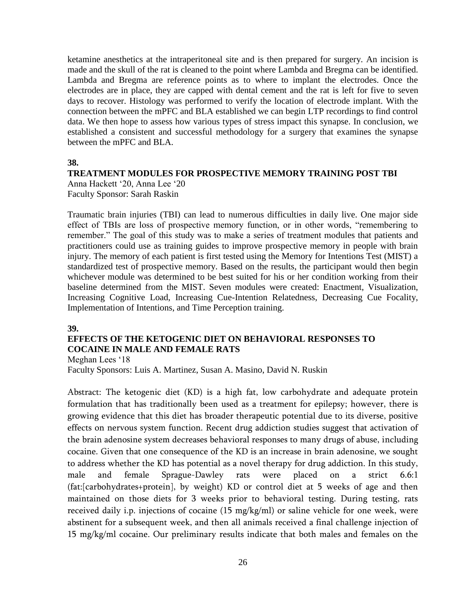ketamine anesthetics at the intraperitoneal site and is then prepared for surgery. An incision is made and the skull of the rat is cleaned to the point where Lambda and Bregma can be identified. Lambda and Bregma are reference points as to where to implant the electrodes. Once the electrodes are in place, they are capped with dental cement and the rat is left for five to seven days to recover. Histology was performed to verify the location of electrode implant. With the connection between the mPFC and BLA established we can begin LTP recordings to find control data. We then hope to assess how various types of stress impact this synapse. In conclusion, we established a consistent and successful methodology for a surgery that examines the synapse between the mPFC and BLA.

#### **38.**

#### **TREATMENT MODULES FOR PROSPECTIVE MEMORY TRAINING POST TBI**

Anna Hackett '20, Anna Lee '20 Faculty Sponsor: Sarah Raskin

Traumatic brain injuries (TBI) can lead to numerous difficulties in daily live. One major side effect of TBIs are loss of prospective memory function, or in other words, "remembering to remember." The goal of this study was to make a series of treatment modules that patients and practitioners could use as training guides to improve prospective memory in people with brain injury. The memory of each patient is first tested using the Memory for Intentions Test (MIST) a standardized test of prospective memory. Based on the results, the participant would then begin whichever module was determined to be best suited for his or her condition working from their baseline determined from the MIST. Seven modules were created: Enactment, Visualization, Increasing Cognitive Load, Increasing Cue-Intention Relatedness, Decreasing Cue Focality, Implementation of Intentions, and Time Perception training.

#### **39.**

### **EFFECTS OF THE KETOGENIC DIET ON BEHAVIORAL RESPONSES TO COCAINE IN MALE AND FEMALE RATS**

Meghan Lees '18

Faculty Sponsors: Luis A. Martinez, Susan A. Masino, David N. Ruskin

Abstract: The ketogenic diet (KD) is a high fat, low carbohydrate and adequate protein formulation that has traditionally been used as a treatment for epilepsy; however, there is growing evidence that this diet has broader therapeutic potential due to its diverse, positive effects on nervous system function. Recent drug addiction studies suggest that activation of the brain adenosine system decreases behavioral responses to many drugs of abuse, including cocaine. Given that one consequence of the KD is an increase in brain adenosine, we sought to address whether the KD has potential as a novel therapy for drug addiction. In this study, male and female Sprague-Dawley rats were placed on a strict 6.6:1 (fat:[carbohydrates+protein], by weight) KD or control diet at 5 weeks of age and then maintained on those diets for 3 weeks prior to behavioral testing. During testing, rats received daily i.p. injections of cocaine (15 mg/kg/ml) or saline vehicle for one week, were abstinent for a subsequent week, and then all animals received a final challenge injection of 15 mg/kg/ml cocaine. Our preliminary results indicate that both males and females on the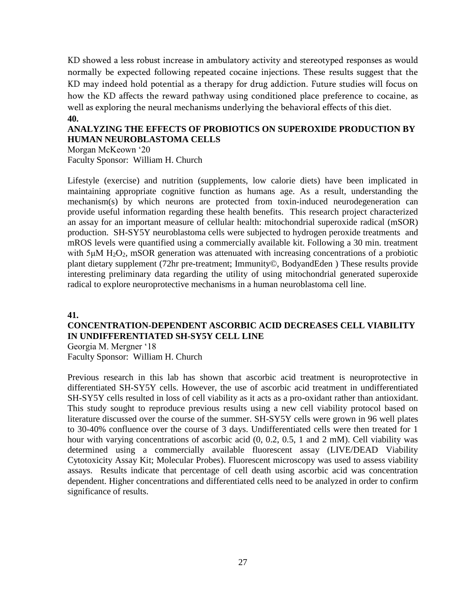KD showed a less robust increase in ambulatory activity and stereotyped responses as would normally be expected following repeated cocaine injections. These results suggest that the KD may indeed hold potential as a therapy for drug addiction. Future studies will focus on how the KD affects the reward pathway using conditioned place preference to cocaine, as well as exploring the neural mechanisms underlying the behavioral effects of this diet. **40.**

### **ANALYZING THE EFFECTS OF PROBIOTICS ON SUPEROXIDE PRODUCTION BY HUMAN NEUROBLASTOMA CELLS**

Morgan McKeown '20 Faculty Sponsor: William H. Church

Lifestyle (exercise) and nutrition (supplements, low calorie diets) have been implicated in maintaining appropriate cognitive function as humans age. As a result, understanding the mechanism(s) by which neurons are protected from toxin-induced neurodegeneration can provide useful information regarding these health benefits. This research project characterized an assay for an important measure of cellular health: mitochondrial superoxide radical (mSOR) production. SH-SY5Y neuroblastoma cells were subjected to hydrogen peroxide treatments and mROS levels were quantified using a commercially available kit. Following a 30 min. treatment with  $5\mu$ M H<sub>2</sub>O<sub>2</sub>, mSOR generation was attenuated with increasing concentrations of a probiotic plant dietary supplement (72hr pre-treatment; Immunity©, BodyandEden ) These results provide interesting preliminary data regarding the utility of using mitochondrial generated superoxide radical to explore neuroprotective mechanisms in a human neuroblastoma cell line.

#### **41.**

## **CONCENTRATION-DEPENDENT ASCORBIC ACID DECREASES CELL VIABILITY IN UNDIFFERENTIATED SH-SY5Y CELL LINE**

Georgia M. Mergner '18 Faculty Sponsor: William H. Church

Previous research in this lab has shown that ascorbic acid treatment is neuroprotective in differentiated SH-SY5Y cells. However, the use of ascorbic acid treatment in undifferentiated SH-SY5Y cells resulted in loss of cell viability as it acts as a pro-oxidant rather than antioxidant. This study sought to reproduce previous results using a new cell viability protocol based on literature discussed over the course of the summer. SH-SY5Y cells were grown in 96 well plates to 30-40% confluence over the course of 3 days. Undifferentiated cells were then treated for 1 hour with varying concentrations of ascorbic acid  $(0, 0.2, 0.5, 1, 1$  and 2 mM). Cell viability was determined using a commercially available fluorescent assay (LIVE/DEAD Viability Cytotoxicity Assay Kit; Molecular Probes). Fluorescent microscopy was used to assess viability assays. Results indicate that percentage of cell death using ascorbic acid was concentration dependent. Higher concentrations and differentiated cells need to be analyzed in order to confirm significance of results.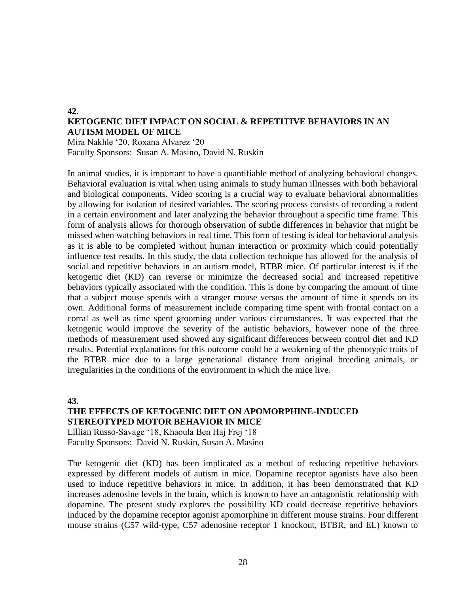# **KETOGENIC DIET IMPACT ON SOCIAL & REPETITIVE BEHAVIORS IN AN AUTISM MODEL OF MICE**

Mira Nakhle '20, Roxana Alvarez '20 Faculty Sponsors: Susan A. Masino, David N. Ruskin

In animal studies, it is important to have a quantifiable method of analyzing behavioral changes. Behavioral evaluation is vital when using animals to study human illnesses with both behavioral and biological components. Video scoring is a crucial way to evaluate behavioral abnormalities by allowing for isolation of desired variables. The scoring process consists of recording a rodent in a certain environment and later analyzing the behavior throughout a specific time frame. This form of analysis allows for thorough observation of subtle differences in behavior that might be missed when watching behaviors in real time. This form of testing is ideal for behavioral analysis as it is able to be completed without human interaction or proximity which could potentially influence test results. In this study, the data collection technique has allowed for the analysis of social and repetitive behaviors in an autism model, BTBR mice. Of particular interest is if the ketogenic diet (KD) can reverse or minimize the decreased social and increased repetitive behaviors typically associated with the condition. This is done by comparing the amount of time that a subject mouse spends with a stranger mouse versus the amount of time it spends on its own. Additional forms of measurement include comparing time spent with frontal contact on a corral as well as time spent grooming under various circumstances. It was expected that the ketogenic would improve the severity of the autistic behaviors, however none of the three methods of measurement used showed any significant differences between control diet and KD results. Potential explanations for this outcome could be a weakening of the phenotypic traits of the BTBR mice due to a large generational distance from original breeding animals, or irregularities in the conditions of the environment in which the mice live.

**43.**

**42.**

## **THE EFFECTS OF KETOGENIC DIET ON APOMORPHINE-INDUCED STEREOTYPED MOTOR BEHAVIOR IN MICE**

Lillian Russo-Savage '18, Khaoula Ben Haj Frej '18 Faculty Sponsors: David N. Ruskin, Susan A. Masino

The ketogenic diet (KD) has been implicated as a method of reducing repetitive behaviors expressed by different models of autism in mice. Dopamine receptor agonists have also been used to induce repetitive behaviors in mice. In addition, it has been demonstrated that KD increases adenosine levels in the brain, which is known to have an antagonistic relationship with dopamine. The present study explores the possibility KD could decrease repetitive behaviors induced by the dopamine receptor agonist apomorphine in different mouse strains. Four different mouse strains (C57 wild-type, C57 adenosine receptor 1 knockout, BTBR, and EL) known to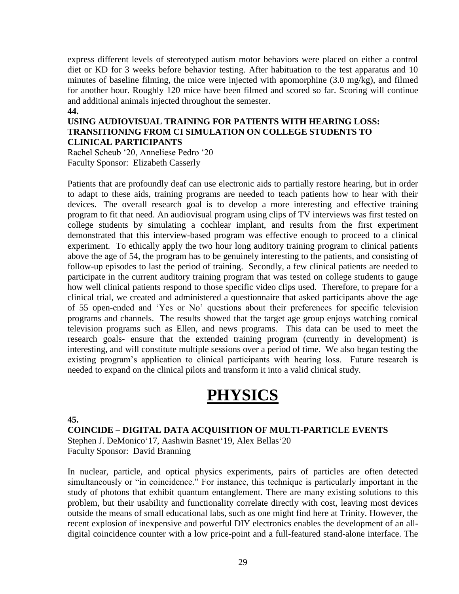express different levels of stereotyped autism motor behaviors were placed on either a control diet or KD for 3 weeks before behavior testing. After habituation to the test apparatus and 10 minutes of baseline filming, the mice were injected with apomorphine (3.0 mg/kg), and filmed for another hour. Roughly 120 mice have been filmed and scored so far. Scoring will continue and additional animals injected throughout the semester.

#### **44.**

### **USING AUDIOVISUAL TRAINING FOR PATIENTS WITH HEARING LOSS: TRANSITIONING FROM CI SIMULATION ON COLLEGE STUDENTS TO CLINICAL PARTICIPANTS**

Rachel Scheub '20, Anneliese Pedro '20 Faculty Sponsor: Elizabeth Casserly

Patients that are profoundly deaf can use electronic aids to partially restore hearing, but in order to adapt to these aids, training programs are needed to teach patients how to hear with their devices. The overall research goal is to develop a more interesting and effective training program to fit that need. An audiovisual program using clips of TV interviews was first tested on college students by simulating a cochlear implant, and results from the first experiment demonstrated that this interview-based program was effective enough to proceed to a clinical experiment. To ethically apply the two hour long auditory training program to clinical patients above the age of 54, the program has to be genuinely interesting to the patients, and consisting of follow-up episodes to last the period of training. Secondly, a few clinical patients are needed to participate in the current auditory training program that was tested on college students to gauge how well clinical patients respond to those specific video clips used. Therefore, to prepare for a clinical trial, we created and administered a questionnaire that asked participants above the age of 55 open-ended and 'Yes or No' questions about their preferences for specific television programs and channels. The results showed that the target age group enjoys watching comical television programs such as Ellen, and news programs. This data can be used to meet the research goals- ensure that the extended training program (currently in development) is interesting, and will constitute multiple sessions over a period of time. We also began testing the existing program's application to clinical participants with hearing loss. Future research is needed to expand on the clinical pilots and transform it into a valid clinical study.

# **PHYSICS**

#### **45.**

**COINCIDE – DIGITAL DATA ACQUISITION OF MULTI-PARTICLE EVENTS** Stephen J. DeMonico'17, Aashwin Basnet'19, Alex Bellas'20 Faculty Sponsor: David Branning

In nuclear, particle, and optical physics experiments, pairs of particles are often detected simultaneously or "in coincidence." For instance, this technique is particularly important in the study of photons that exhibit quantum entanglement. There are many existing solutions to this problem, but their usability and functionality correlate directly with cost, leaving most devices outside the means of small educational labs, such as one might find here at Trinity. However, the recent explosion of inexpensive and powerful DIY electronics enables the development of an alldigital coincidence counter with a low price-point and a full-featured stand-alone interface. The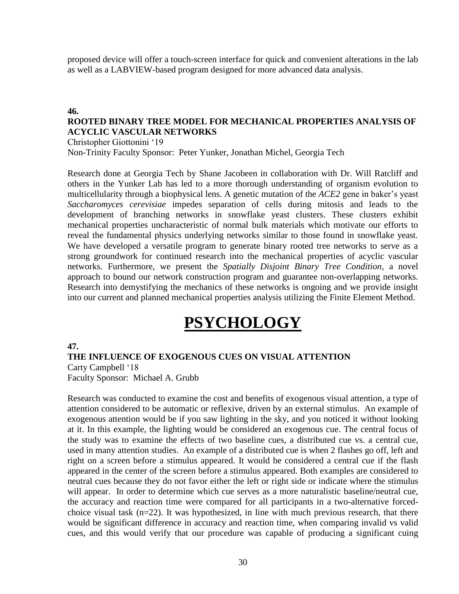proposed device will offer a touch-screen interface for quick and convenient alterations in the lab as well as a LABVIEW-based program designed for more advanced data analysis.

#### **46.**

### **ROOTED BINARY TREE MODEL FOR MECHANICAL PROPERTIES ANALYSIS OF ACYCLIC VASCULAR NETWORKS**

Christopher Giottonini '19

Non-Trinity Faculty Sponsor: Peter Yunker, Jonathan Michel, Georgia Tech

Research done at Georgia Tech by Shane Jacobeen in collaboration with Dr. Will Ratcliff and others in the Yunker Lab has led to a more thorough understanding of organism evolution to multicellularity through a biophysical lens. A genetic mutation of the *ACE2* gene in baker's yeast *Saccharomyces cerevisiae* impedes separation of cells during mitosis and leads to the development of branching networks in snowflake yeast clusters. These clusters exhibit mechanical properties uncharacteristic of normal bulk materials which motivate our efforts to reveal the fundamental physics underlying networks similar to those found in snowflake yeast. We have developed a versatile program to generate binary rooted tree networks to serve as a strong groundwork for continued research into the mechanical properties of acyclic vascular networks. Furthermore, we present the *Spatially Disjoint Binary Tree Condition*, a novel approach to bound our network construction program and guarantee non-overlapping networks. Research into demystifying the mechanics of these networks is ongoing and we provide insight into our current and planned mechanical properties analysis utilizing the Finite Element Method.

# **PSYCHOLOGY**

#### **47.**

#### **THE INFLUENCE OF EXOGENOUS CUES ON VISUAL ATTENTION** Carty Campbell '18

Faculty Sponsor: Michael A. Grubb

Research was conducted to examine the cost and benefits of exogenous visual attention, a type of attention considered to be automatic or reflexive, driven by an external stimulus. An example of exogenous attention would be if you saw lighting in the sky, and you noticed it without looking at it. In this example, the lighting would be considered an exogenous cue. The central focus of the study was to examine the effects of two baseline cues, a distributed cue vs. a central cue, used in many attention studies. An example of a distributed cue is when 2 flashes go off, left and right on a screen before a stimulus appeared. It would be considered a central cue if the flash appeared in the center of the screen before a stimulus appeared. Both examples are considered to neutral cues because they do not favor either the left or right side or indicate where the stimulus will appear. In order to determine which cue serves as a more naturalistic baseline/neutral cue, the accuracy and reaction time were compared for all participants in a two-alternative forcedchoice visual task  $(n=22)$ . It was hypothesized, in line with much previous research, that there would be significant difference in accuracy and reaction time, when comparing invalid vs valid cues, and this would verify that our procedure was capable of producing a significant cuing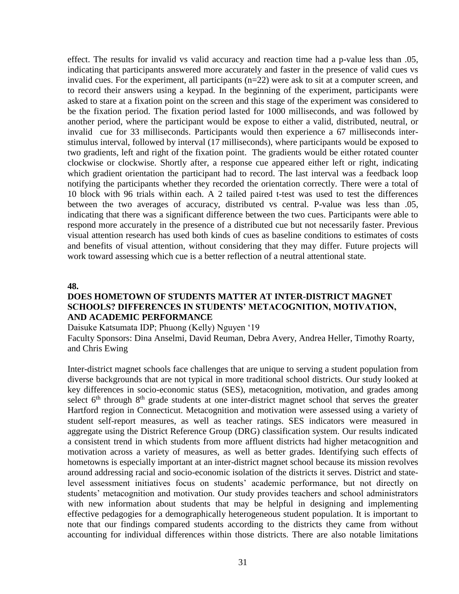effect. The results for invalid vs valid accuracy and reaction time had a p-value less than .05, indicating that participants answered more accurately and faster in the presence of valid cues vs invalid cues. For the experiment, all participants (n=22) were ask to sit at a computer screen, and to record their answers using a keypad. In the beginning of the experiment, participants were asked to stare at a fixation point on the screen and this stage of the experiment was considered to be the fixation period. The fixation period lasted for 1000 milliseconds, and was followed by another period, where the participant would be expose to either a valid, distributed, neutral, or invalid cue for 33 milliseconds. Participants would then experience a 67 milliseconds interstimulus interval, followed by interval (17 milliseconds), where participants would be exposed to two gradients, left and right of the fixation point. The gradients would be either rotated counter clockwise or clockwise. Shortly after, a response cue appeared either left or right, indicating which gradient orientation the participant had to record. The last interval was a feedback loop notifying the participants whether they recorded the orientation correctly. There were a total of 10 block with 96 trials within each. A 2 tailed paired t-test was used to test the differences between the two averages of accuracy, distributed vs central. P-value was less than .05, indicating that there was a significant difference between the two cues. Participants were able to respond more accurately in the presence of a distributed cue but not necessarily faster. Previous visual attention research has used both kinds of cues as baseline conditions to estimates of costs and benefits of visual attention, without considering that they may differ. Future projects will work toward assessing which cue is a better reflection of a neutral attentional state.

#### **48.**

#### **DOES HOMETOWN OF STUDENTS MATTER AT INTER-DISTRICT MAGNET SCHOOLS? DIFFERENCES IN STUDENTS' METACOGNITION, MOTIVATION, AND ACADEMIC PERFORMANCE**

Daisuke Katsumata IDP; Phuong (Kelly) Nguyen '19

Faculty Sponsors: Dina Anselmi, David Reuman, Debra Avery, Andrea Heller, Timothy Roarty, and Chris Ewing

Inter-district magnet schools face challenges that are unique to serving a student population from diverse backgrounds that are not typical in more traditional school districts. Our study looked at key differences in socio-economic status (SES), metacognition, motivation, and grades among select  $6<sup>th</sup>$  through  $8<sup>th</sup>$  grade students at one inter-district magnet school that serves the greater Hartford region in Connecticut. Metacognition and motivation were assessed using a variety of student self-report measures, as well as teacher ratings. SES indicators were measured in aggregate using the District Reference Group (DRG) classification system. Our results indicated a consistent trend in which students from more affluent districts had higher metacognition and motivation across a variety of measures, as well as better grades. Identifying such effects of hometowns is especially important at an inter-district magnet school because its mission revolves around addressing racial and socio-economic isolation of the districts it serves. District and statelevel assessment initiatives focus on students' academic performance, but not directly on students' metacognition and motivation. Our study provides teachers and school administrators with new information about students that may be helpful in designing and implementing effective pedagogies for a demographically heterogeneous student population. It is important to note that our findings compared students according to the districts they came from without accounting for individual differences within those districts. There are also notable limitations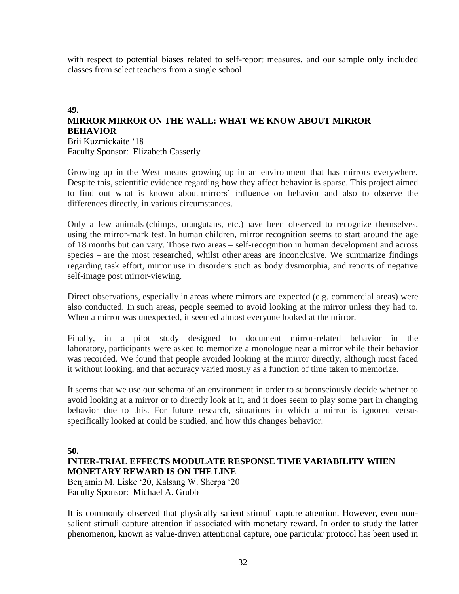with respect to potential biases related to self-report measures, and our sample only included classes from select teachers from a single school.

#### **49. MIRROR MIRROR ON THE WALL: WHAT WE KNOW ABOUT MIRROR BEHAVIOR**

Brii Kuzmickaite '18 Faculty Sponsor: Elizabeth Casserly

Growing up in the West means growing up in an environment that has mirrors everywhere. Despite this, scientific evidence regarding how they affect behavior is sparse. This project aimed to find out what is known about mirrors' influence on behavior and also to observe the differences directly, in various circumstances.

Only a few animals (chimps, orangutans, etc.) have been observed to recognize themselves, using the mirror-mark test. In human children, mirror recognition seems to start around the age of 18 months but can vary. Those two areas – self-recognition in human development and across species – are the most researched, whilst other areas are inconclusive. We summarize findings regarding task effort, mirror use in disorders such as body dysmorphia, and reports of negative self-image post mirror-viewing.

Direct observations, especially in areas where mirrors are expected (e.g. commercial areas) were also conducted. In such areas, people seemed to avoid looking at the mirror unless they had to. When a mirror was unexpected, it seemed almost everyone looked at the mirror.

Finally, in a pilot study designed to document mirror-related behavior in the laboratory, participants were asked to memorize a monologue near a mirror while their behavior was recorded. We found that people avoided looking at the mirror directly, although most faced it without looking, and that accuracy varied mostly as a function of time taken to memorize.

It seems that we use our schema of an environment in order to subconsciously decide whether to avoid looking at a mirror or to directly look at it, and it does seem to play some part in changing behavior due to this. For future research, situations in which a mirror is ignored versus specifically looked at could be studied, and how this changes behavior.

#### **50.**

### **INTER-TRIAL EFFECTS MODULATE RESPONSE TIME VARIABILITY WHEN MONETARY REWARD IS ON THE LINE**

Benjamin M. Liske '20, Kalsang W. Sherpa '20 Faculty Sponsor: Michael A. Grubb

It is commonly observed that physically salient stimuli capture attention. However, even nonsalient stimuli capture attention if associated with monetary reward. In order to study the latter phenomenon, known as value-driven attentional capture, one particular protocol has been used in